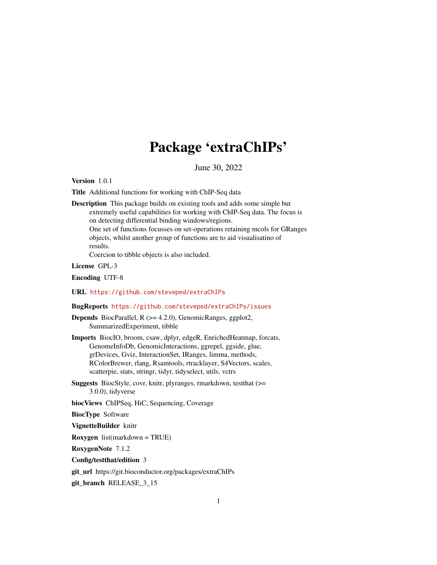# Package 'extraChIPs'

June 30, 2022

<span id="page-0-0"></span>Version 1.0.1

Title Additional functions for working with ChIP-Seq data

Description This package builds on existing tools and adds some simple but extremely useful capabilities for working with ChIP-Seq data. The focus is on detecting differential binding windows/regions. One set of functions focusses on set-operations retaining mcols for GRanges objects, whilst another group of functions are to aid visualisatino of results.

Coercion to tibble objects is also included.

License GPL-3

Encoding UTF-8

URL <https://github.com/steveped/extraChIPs>

# BugReports <https://github.com/steveped/extraChIPs/issues>

Depends BiocParallel, R (>= 4.2.0), GenomicRanges, ggplot2, SummarizedExperiment, tibble

Imports BiocIO, broom, csaw, dplyr, edgeR, EnrichedHeatmap, forcats, GenomeInfoDb, GenomicInteractions, ggrepel, ggside, glue, grDevices, Gviz, InteractionSet, IRanges, limma, methods, RColorBrewer, rlang, Rsamtools, rtracklayer, S4Vectors, scales, scatterpie, stats, stringr, tidyr, tidyselect, utils, vctrs

Suggests BiocStyle, covr, knitr, plyranges, rmarkdown, testthat (>= 3.0.0), tidyverse

biocViews ChIPSeq, HiC, Sequencing, Coverage

BiocType Software

VignetteBuilder knitr

Roxygen list(markdown = TRUE)

RoxygenNote 7.1.2

Config/testthat/edition 3

git\_url https://git.bioconductor.org/packages/extraChIPs

git\_branch RELEASE\_3\_15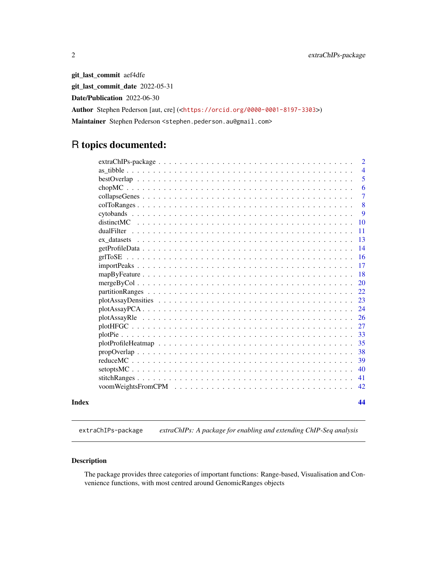git\_last\_commit aef4dfe git\_last\_commit\_date 2022-05-31 Date/Publication 2022-06-30 Author Stephen Pederson [aut, cre] (<<https://orcid.org/0000-0001-8197-3303>>) Maintainer Stephen Pederson <stephen.pederson.au@gmail.com>

# R topics documented:

|       |                  | $\overline{2}$ |
|-------|------------------|----------------|
|       |                  | $\overline{4}$ |
|       |                  | 5              |
|       |                  | 6              |
|       |                  | $\overline{7}$ |
|       |                  | 8              |
|       |                  | 9              |
|       | 10<br>distinctMC |                |
|       | 11               |                |
|       | 13               |                |
|       | 14               |                |
|       | 16               |                |
|       | 17               |                |
|       | 18               |                |
|       | <b>20</b>        |                |
|       | 22               |                |
|       | 23               |                |
|       | 24               |                |
|       | 26               |                |
|       | 27               |                |
|       | 33               |                |
|       | 35               |                |
|       | 38               |                |
|       | 39               |                |
|       | 40               |                |
|       | 41               |                |
|       | 42               |                |
| Index | 44               |                |

extraChIPs-package *extraChIPs: A package for enabling and extending ChIP-Seq analysis*

# Description

The package provides three categories of important functions: Range-based, Visualisation and Convenience functions, with most centred around GenomicRanges objects

<span id="page-1-0"></span>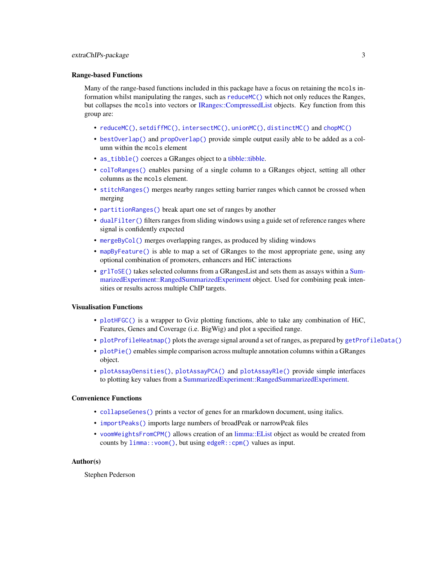#### <span id="page-2-0"></span>Range-based Functions

Many of the range-based functions included in this package have a focus on retaining the mcols information whilst manipulating the ranges, such as [reduceMC\(\)](#page-38-1) which not only reduces the Ranges, but collapses the mcols into vectors or [IRanges::CompressedList](#page-0-0) objects. Key function from this group are:

- [reduceMC\(\)](#page-38-1), [setdiffMC\(\)](#page-39-1), [intersectMC\(\)](#page-39-1), [unionMC\(\)](#page-39-1), [distinctMC\(\)](#page-9-1) and [chopMC\(\)](#page-5-1)
- [bestOverlap\(\)](#page-4-1) and [propOverlap\(\)](#page-37-1) provide simple output easily able to be added as a column within the mcols element
- [as\\_tibble\(\)](#page-3-1) coerces a GRanges object to a [tibble::tibble.](#page-0-0)
- [colToRanges\(\)](#page-7-1) enables parsing of a single column to a GRanges object, setting all other columns as the mcols element.
- [stitchRanges\(\)](#page-40-1) merges nearby ranges setting barrier ranges which cannot be crossed when merging
- [partitionRanges\(\)](#page-21-1) break apart one set of ranges by another
- [dualFilter\(\)](#page-10-1) filters ranges from sliding windows using a guide set of reference ranges where signal is confidently expected
- [mergeByCol\(\)](#page-19-1) merges overlapping ranges, as produced by sliding windows
- [mapByFeature\(\)](#page-17-1) is able to map a set of GRanges to the most appropriate gene, using any optional combination of promoters, enhancers and HiC interactions
- [grlToSE\(\)](#page-15-1) takes selected columns from a GRangesList and sets them as assays within a [Sum](#page-0-0)[marizedExperiment::RangedSummarizedExperiment](#page-0-0) object. Used for combining peak intensities or results across multiple ChIP targets.

#### Visualisation Functions

- [plotHFGC\(\)](#page-26-1) is a wrapper to Gviz plotting functions, able to take any combination of HiC, Features, Genes and Coverage (i.e. BigWig) and plot a specified range.
- [plotProfileHeatmap\(\)](#page-34-1) plots the average signal around a set of ranges, as prepared by [getProfileData\(\)](#page-13-1)
- [plotPie\(\)](#page-32-1) emables simple comparison across multuple annotation columns within a GRanges object.
- [plotAssayDensities\(\)](#page-22-1), [plotAssayPCA\(\)](#page-23-1) and [plotAssayRle\(\)](#page-25-1) provide simple interfaces to plotting key values from a [SummarizedExperiment::RangedSummarizedExperiment.](#page-0-0)

# Convenience Functions

- [collapseGenes\(\)](#page-6-1) prints a vector of genes for an rmarkdown document, using italics.
- [importPeaks\(\)](#page-16-1) imports large numbers of broadPeak or narrowPeak files
- [voomWeightsFromCPM\(\)](#page-41-1) allows creation of an [limma::EList](#page-0-0) object as would be created from counts by [limma::voom\(\)](#page-0-0), but using [edgeR::cpm\(\)](#page-0-0) values as input.

#### Author(s)

Stephen Pederson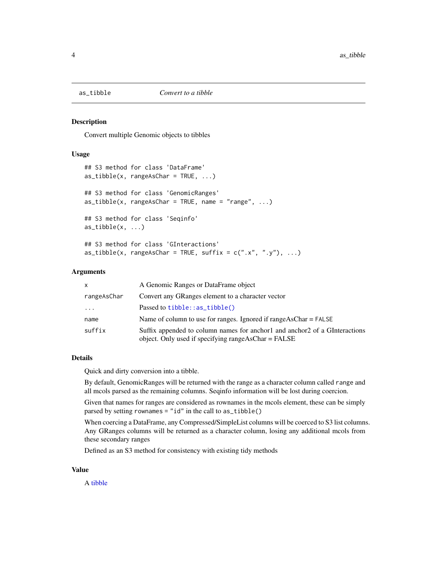<span id="page-3-1"></span><span id="page-3-0"></span>

#### Description

Convert multiple Genomic objects to tibbles

#### Usage

```
## S3 method for class 'DataFrame'
as\_tible(x, rangeAsChar = TRUE, ...)## S3 method for class 'GenomicRanges'
as\_tibble(x, rangeAsChar = TRUE, name = "range", ...)## S3 method for class 'Seqinfo'
as\_tible(x, \ldots)## S3 method for class 'GInteractions'
as\_tible(x, rangeAsChar = TRUE, suffix = c("x", "y"), ...)
```
#### Arguments

| $\mathsf{x}$            | A Genomic Ranges or DataFrame object                                                                                              |
|-------------------------|-----------------------------------------------------------------------------------------------------------------------------------|
| rangeAsChar             | Convert any GRanges element to a character vector                                                                                 |
| $\cdot$ $\cdot$ $\cdot$ | Passed to $tibble::as_tibble()$                                                                                                   |
| name                    | Name of column to use for ranges. Ignored if $rangeAsChar = FALSE$                                                                |
| suffix                  | Suffix appended to column names for anchor and anchor 2 of a GInteractions<br>object. Only used if specifying rangeAsChar = FALSE |

#### Details

Quick and dirty conversion into a tibble.

By default, GenomicRanges will be returned with the range as a character column called range and all mcols parsed as the remaining columns. Seqinfo information will be lost during coercion.

Given that names for ranges are considered as rownames in the mcols element, these can be simply parsed by setting rownames = "id" in the call to as\_tibble()

When coercing a DataFrame, any Compressed/SimpleList columns will be coerced to S3 list columns. Any GRanges columns will be returned as a character column, losing any additional mcols from these secondary ranges

Defined as an S3 method for consistency with existing tidy methods

#### Value

A [tibble](#page-0-0)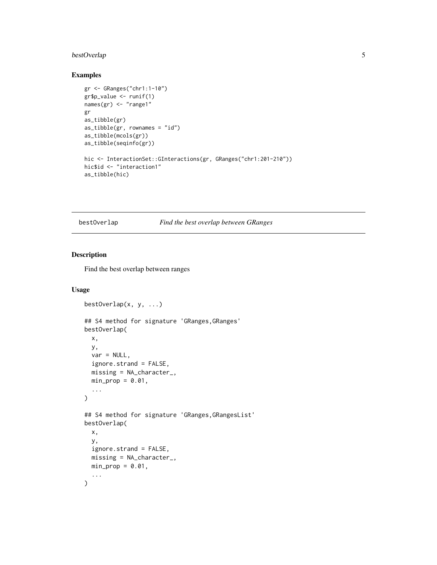# <span id="page-4-0"></span>bestOverlap 5

# Examples

```
gr <- GRanges("chr1:1-10")
gr$p_value <- runif(1)
names(gr) <- "range1"
gr
as_tibble(gr)
as\_tible(gr, rownames = "id")as_tibble(mcols(gr))
as_tibble(seqinfo(gr))
hic <- InteractionSet::GInteractions(gr, GRanges("chr1:201-210"))
hic$id <- "interaction1"
as_tibble(hic)
```
<span id="page-4-1"></span>bestOverlap *Find the best overlap between GRanges*

# Description

Find the best overlap between ranges

```
bestOverlap(x, y, ...)
## S4 method for signature 'GRanges, GRanges'
bestOverlap(
 x,
 y,
 var = NULL,ignore.strand = FALSE,
 missing = NA_character_,
 min\_prop = 0.01,...
)
## S4 method for signature 'GRanges,GRangesList'
bestOverlap(
 x,
 y,
 ignore.strand = FALSE,
 missing = NA_character_,
 min\_prop = 0.01,
  ...
\mathcal{L}
```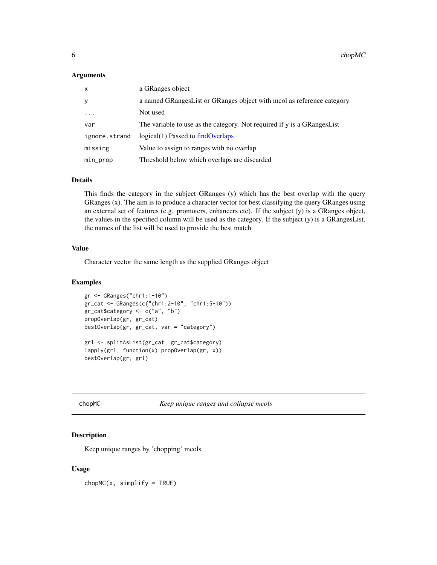#### <span id="page-5-0"></span>Arguments

| X             | a GRanges object                                                        |
|---------------|-------------------------------------------------------------------------|
| У             | a named GRanges List or GRanges object with mool as reference category  |
| $\ddots$ .    | Not used                                                                |
| var           | The variable to use as the category. Not required if y is a GRangesList |
| ignore.strand | logical(1) Passed to findOverlaps                                       |
| missing       | Value to assign to ranges with no overlap                               |
| min_prop      | Threshold below which overlaps are discarded                            |

# Details

This finds the category in the subject GRanges (y) which has the best overlap with the query GRanges (x). The aim is to produce a character vector for best classifying the query GRanges using an external set of features (e.g. promoters, enhancers etc). If the subject (y) is a GRanges object, the values in the specified column will be used as the category. If the subject (y) is a GRangesList, the names of the list will be used to provide the best match

# Value

Character vector the same length as the supplied GRanges object

# Examples

```
gr <- GRanges("chr1:1-10")
gr_cat <- GRanges(c("chr1:2-10", "chr1:5-10"))
gr_cat$category <- c("a", "b")
propOverlap(gr, gr_cat)
bestOverlap(gr, gr_cat, var = "category")
grl <- splitAsList(gr_cat, gr_cat$category)
lapply(grl, function(x) propOverlap(gr, x))
bestOverlap(gr, grl)
```
<span id="page-5-1"></span>chopMC *Keep unique ranges and collapse me***on** 

# Description

Keep unique ranges by 'chopping' mcols

### Usage

 $chopMC(x, simplify = TRUE)$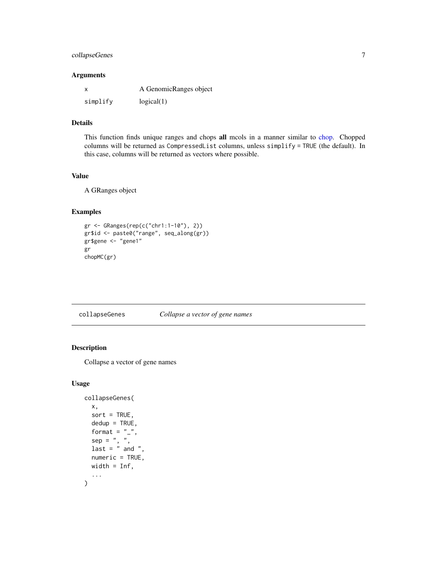# <span id="page-6-0"></span>collapseGenes 7

#### Arguments

|          | A GenomicRanges object |
|----------|------------------------|
| simplify | logical(1)             |

# Details

This function finds unique ranges and chops all mcols in a manner similar to [chop.](#page-0-0) Chopped columns will be returned as CompressedList columns, unless simplify = TRUE (the default). In this case, columns will be returned as vectors where possible.

# Value

A GRanges object

# Examples

```
gr <- GRanges(rep(c("chr1:1-10"), 2))
gr$id <- paste0("range", seq_along(gr))
gr$gene <- "gene1"
gr
chopMC(gr)
```
<span id="page-6-1"></span>collapseGenes *Collapse a vector of gene names*

# Description

Collapse a vector of gene names

```
collapseGenes(
  x,
  sort = TRUE,dedup = TRUE,format = "_",
  sep = " , " ,last = " and ",
  numeric = TRUE,
  width = Inf,
  ...
\mathcal{L}
```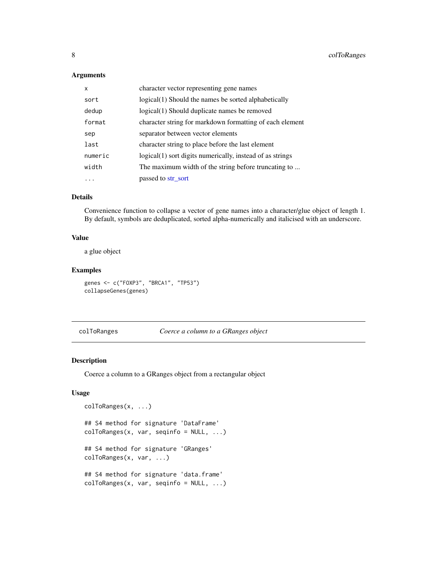# <span id="page-7-0"></span>Arguments

| x       | character vector representing gene names                  |
|---------|-----------------------------------------------------------|
| sort    | logical(1) Should the names be sorted alphabetically      |
| dedup   | logical(1) Should duplicate names be removed              |
| format  | character string for markdown formatting of each element  |
| sep     | separator between vector elements                         |
| last    | character string to place before the last element         |
| numeric | logical(1) sort digits numerically, instead of as strings |
| width   | The maximum width of the string before truncating to      |
|         | passed to str sort                                        |

# Details

Convenience function to collapse a vector of gene names into a character/glue object of length 1. By default, symbols are deduplicated, sorted alpha-numerically and italicised with an underscore.

# Value

a glue object

# Examples

genes <- c("FOXP3", "BRCA1", "TP53") collapseGenes(genes)

<span id="page-7-1"></span>colToRanges *Coerce a column to a GRanges object*

# Description

Coerce a column to a GRanges object from a rectangular object

```
colToRanges(x, ...)
## S4 method for signature 'DataFrame'
colToRanges(x, var, seqinfo = NULL, ...)
## S4 method for signature 'GRanges'
colToRanges(x, var, ...)
## S4 method for signature 'data.frame'
colToRanges(x, var, seqinfo = NULL, ...)
```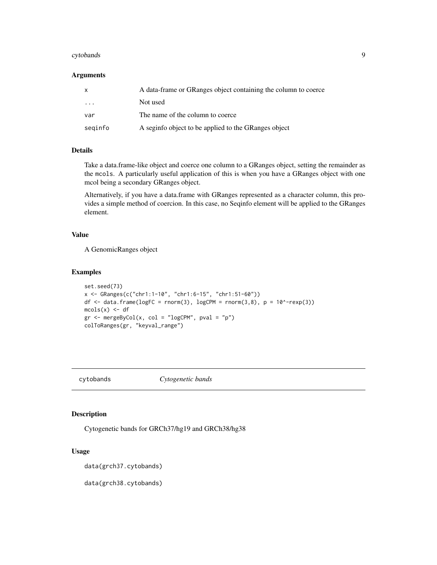#### <span id="page-8-0"></span>cytobands **9**

#### Arguments

| $\mathsf{x}$ | A data-frame or GRanges object containing the column to coerce |
|--------------|----------------------------------------------------------------|
| .            | Not used                                                       |
| var          | The name of the column to coerce                               |
| seginfo      | A seginfo object to be applied to the GRanges object           |

#### Details

Take a data.frame-like object and coerce one column to a GRanges object, setting the remainder as the mcols. A particularly useful application of this is when you have a GRanges object with one mcol being a secondary GRanges object.

Alternatively, if you have a data.frame with GRanges represented as a character column, this provides a simple method of coercion. In this case, no Seqinfo element will be applied to the GRanges element.

# Value

A GenomicRanges object

#### Examples

```
set.seed(73)
x <- GRanges(c("chr1:1-10", "chr1:6-15", "chr1:51-60"))
df \le data.frame(logFC = rnorm(3), logCPM = rnorm(3,8), p = 10^-rexp(3))
mcols(x) < - dfgr <- mergeByCol(x, col = "logCPM", pval = "p")
colToRanges(gr, "keyval_range")
```
cytobands *Cytogenetic bands*

#### <span id="page-8-1"></span>Description

Cytogenetic bands for GRCh37/hg19 and GRCh38/hg38

#### Usage

data(grch37.cytobands)

data(grch38.cytobands)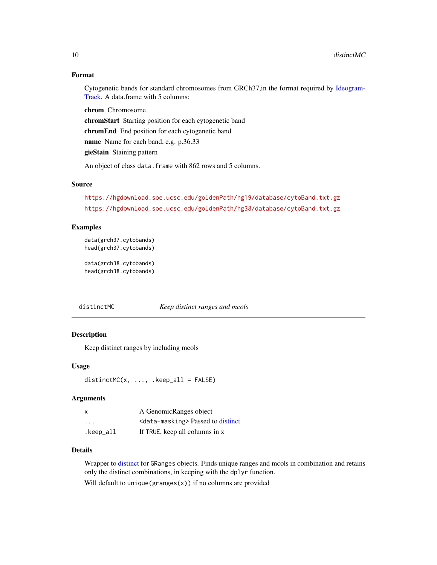# <span id="page-9-0"></span>Format

Cytogenetic bands for standard chromosomes from GRCh37,in the format required by [Ideogram-](#page-0-0)[Track.](#page-0-0) A data.frame with 5 columns:

chrom Chromosome chromStart Starting position for each cytogenetic band chromEnd End position for each cytogenetic band name Name for each band, e.g. p.36.33 gieStain Staining pattern

An object of class data. frame with 862 rows and 5 columns.

#### Source

<https://hgdownload.soe.ucsc.edu/goldenPath/hg19/database/cytoBand.txt.gz> <https://hgdownload.soe.ucsc.edu/goldenPath/hg38/database/cytoBand.txt.gz>

#### Examples

data(grch37.cytobands) head(grch37.cytobands)

data(grch38.cytobands) head(grch38.cytobands)

<span id="page-9-1"></span>distinctMC *Keep distinct ranges and mcols*

#### Description

Keep distinct ranges by including mcols

#### Usage

```
distinctMC(x, ..., keep_a11 = FALSE)
```
### Arguments

| $\times$  | A GenomicRanges object                           |
|-----------|--------------------------------------------------|
| $\cdots$  | <data-masking> Passed to distinct</data-masking> |
| .keep_all | If TRUE, keep all columns in x                   |

#### Details

Wrapper to [distinct](#page-0-0) for GRanges objects. Finds unique ranges and mcols in combination and retains only the distinct combinations, in keeping with the dplyr function.

Will default to unique (granges $(x)$ ) if no columns are provided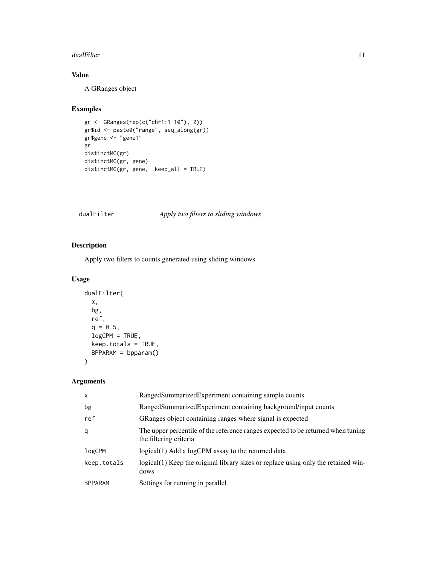#### <span id="page-10-0"></span>dualFilter 11

# Value

A GRanges object

#### Examples

```
gr <- GRanges(rep(c("chr1:1-10"), 2))
gr$id <- paste0("range", seq_along(gr))
gr$gene <- "gene1"
gr
distinctMC(gr)
distinctMC(gr, gene)
distinctMC(gr, gene, .keep_all = TRUE)
```
# <span id="page-10-1"></span>dualFilter *Apply two filters to sliding windows*

# Description

Apply two filters to counts generated using sliding windows

# Usage

```
dualFilter(
 x,
 bg,
 ref,
 q = 0.5,
 logCPM = TRUE,
 keep.totals = TRUE,
 BPPARAM = bpparam()
)
```
#### Arguments

| $\mathsf{x}$   | RangedSummarizedExperiment containing sample counts                                                        |
|----------------|------------------------------------------------------------------------------------------------------------|
| bg             | RangedSummarizedExperiment containing background/input counts                                              |
| ref            | GRanges object containing ranges where signal is expected                                                  |
| q              | The upper percentile of the reference ranges expected to be returned when tuning<br>the filtering criteria |
| logCPM         | logical(1) Add a logCPM assay to the returned data                                                         |
| keep.totals    | logical(1) Keep the original library sizes or replace using only the retained win-<br>dows                 |
| <b>BPPARAM</b> | Settings for running in parallel                                                                           |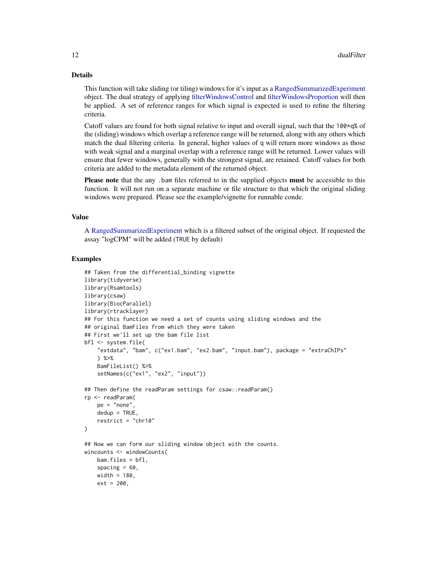# Details

This function will take sliding (or tiling) windows for it's input as a [RangedSummarizedExperiment](#page-0-0) object. The dual strategy of applying [filterWindowsControl](#page-0-0) and [filterWindowsProportion](#page-0-0) will then be applied. A set of reference ranges for which signal is expected is used to refine the filtering criteria.

Cutoff values are found for both signal relative to input and overall signal, such that the  $100 \times q\%$  of the (sliding) windows which overlap a reference range will be returned, along with any others which match the dual filtering criteria. In general, higher values of q will return more windows as those with weak signal and a marginal overlap with a reference range will be returned. Lower values will ensure that fewer windows, generally with the strongest signal, are retained. Cutoff values for both criteria are added to the metadata element of the returned object.

Please note that the any .bam files referred to in the supplied objects must be accessible to this function. It will not run on a separate machine or file structure to that which the original sliding windows were prepared. Please see the example/vignette for runnable conde.

# Value

A [RangedSummarizedExperiment](#page-0-0) which is a filtered subset of the original object. If requested the assay "logCPM" will be added (TRUE by default)

```
## Taken from the differential_binding vignette
library(tidyverse)
library(Rsamtools)
library(csaw)
library(BiocParallel)
library(rtracklayer)
## For this function we need a set of counts using sliding windows and the
## original BamFiles from which they were taken
## First we'll set up the bam file list
bfl <- system.file(
    "extdata", "bam", c("ex1.bam", "ex2.bam", "input.bam"), package = "extraChIPs"
    ) %>%
    BamFileList() %>%
    setNames(c("ex1", "ex2", "input"))
## Then define the readParam settings for csaw::readParam()
rp <- readParam(
   pe = "none",dedup = TRUE,
    restrict = "chr10"
)
## Now we can form our sliding window object with the counts.
wincounts <- windowCounts(
    bam.files = bfl,
    spacing = 60,
    width = 180,
    ext = 200,
```
<span id="page-11-0"></span>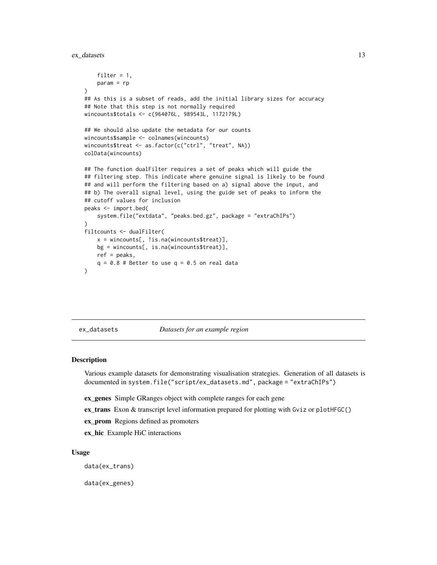<span id="page-12-0"></span>ex\_datasets 13

```
filter = 1,
   param = rp
)
## As this is a subset of reads, add the initial library sizes for accuracy
## Note that this step is not normally required
wincounts$totals <- c(964076L, 989543L, 1172179L)
## We should also update the metadata for our counts
wincounts$sample <- colnames(wincounts)
wincounts$treat <- as.factor(c("ctrl", "treat", NA))
colData(wincounts)
## The function dualFilter requires a set of peaks which will guide the
## filtering step. This indicate where genuine signal is likely to be found
## and will perform the filtering based on a) signal above the input, and
## b) The overall signal level, using the guide set of peaks to inform the
## cutoff values for inclusion
peaks <- import.bed(
    system.file("extdata", "peaks.bed.gz", package = "extraChIPs")
)
filtcounts <- dualFilter(
   x = wincounts[, !is.na(wincounts$treat)],
   bg = wincounts[, is.na(wincounts$treat)],
   ref = peaks,
   q = 0.8 # Better to use q = 0.5 on real data
)
```
ex\_datasets *Datasets for an example region*

#### Description

Various example datasets for demonstrating visualisation strategies. Generation of all datasets is documented in system.file("script/ex\_datasets.md", package = "extraChIPs")

- ex\_genes Simple GRanges object with complete ranges for each gene
- ex\_trans Exon & transcript level information prepared for plotting with Gviz or plotHFGC()
- ex\_prom Regions defined as promoters
- ex hic Example HiC interactions

#### Usage

data(ex\_trans)

data(ex\_genes)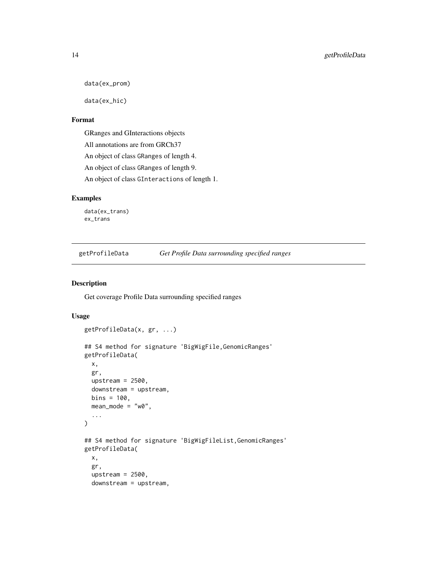```
data(ex_prom)
```
data(ex\_hic)

# Format

GRanges and GInteractions objects

All annotations are from GRCh37

An object of class GRanges of length 4.

An object of class GRanges of length 9.

An object of class GInteractions of length 1.

# Examples

data(ex\_trans) ex\_trans

<span id="page-13-1"></span>getProfileData *Get Profile Data surrounding specified ranges*

# Description

Get coverage Profile Data surrounding specified ranges

```
getProfileData(x, gr, ...)
## S4 method for signature 'BigWigFile,GenomicRanges'
getProfileData(
 x,
  gr,
 upstream = 2500,
 downstream = upstream,
 bins = 100,
 mean_model = "w0",...
)
## S4 method for signature 'BigWigFileList,GenomicRanges'
getProfileData(
  x,
  gr,
  upstream = 2500,
  downstream = upstream,
```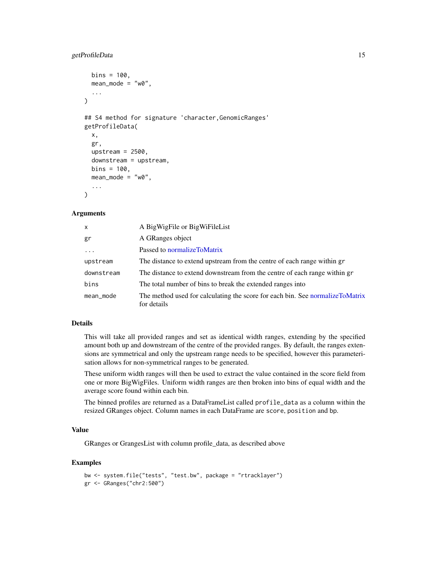# <span id="page-14-0"></span>getProfileData 15

```
bins = 100,
 mean_model = "w0"....
\lambda## S4 method for signature 'character,GenomicRanges'
getProfileData(
 x,
  gr,
 upstream = 2500,
  downstream = upstream,
 bins = 100,
 mean_model = "w0",...
)
```
#### **Arguments**

| X.         | A BigWigFile or BigWiFileList                                                                |
|------------|----------------------------------------------------------------------------------------------|
| gr         | A GRanges object                                                                             |
| $\cdots$   | Passed to normalize ToMatrix                                                                 |
| upstream   | The distance to extend upstream from the centre of each range within gr                      |
| downstream | The distance to extend downstream from the centre of each range within gr                    |
| bins       | The total number of bins to break the extended ranges into                                   |
| mean_mode  | The method used for calculating the score for each bin. See normalizeToMatrix<br>for details |

# Details

This will take all provided ranges and set as identical width ranges, extending by the specified amount both up and downstream of the centre of the provided ranges. By default, the ranges extensions are symmetrical and only the upstream range needs to be specified, however this parameterisation allows for non-symmetrical ranges to be generated.

These uniform width ranges will then be used to extract the value contained in the score field from one or more BigWigFiles. Uniform width ranges are then broken into bins of equal width and the average score found within each bin.

The binned profiles are returned as a DataFrameList called profile\_data as a column within the resized GRanges object. Column names in each DataFrame are score, position and bp.

#### Value

GRanges or GrangesList with column profile\_data, as described above

```
bw <- system.file("tests", "test.bw", package = "rtracklayer")
gr <- GRanges("chr2:500")
```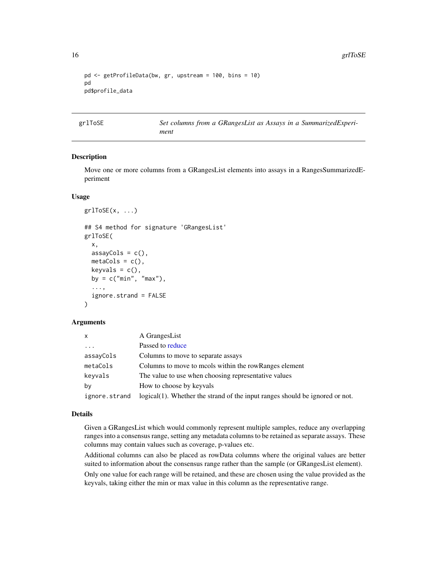```
pd <- getProfileData(bw, gr, upstream = 100, bins = 10)
pd
pd$profile_data
```
<span id="page-15-1"></span>grlToSE *Set columns from a GRangesList as Assays in a SummarizedExperiment*

# Description

Move one or more columns from a GRangesList elements into assays in a RangesSummarizedEperiment

#### Usage

```
grlToSE(x, \ldots)## S4 method for signature 'GRangesList'
grlToSE(
 x,
 assayCols = c(),
 metaCols = c(),
 keyvals = c(),
 by = c("min", "max"),
  ...,
  ignore.strand = FALSE
\lambda
```
#### Arguments

| x             | A GrangesList                                                                |
|---------------|------------------------------------------------------------------------------|
| $\cdots$      | Passed to reduce                                                             |
| assayCols     | Columns to move to separate assays                                           |
| metaCols      | Columns to move to mools within the row Ranges element                       |
| keyvals       | The value to use when choosing representative values                         |
| bν            | How to choose by keyvals                                                     |
| ignore.strand | logical(1). Whether the strand of the input ranges should be ignored or not. |

#### Details

Given a GRangesList which would commonly represent multiple samples, reduce any overlapping ranges into a consensus range, setting any metadata columns to be retained as separate assays. These columns may contain values such as coverage, p-values etc.

Additional columns can also be placed as rowData columns where the original values are better suited to information about the consensus range rather than the sample (or GRangesList element).

Only one value for each range will be retained, and these are chosen using the value provided as the keyvals, taking either the min or max value in this column as the representative range.

<span id="page-15-0"></span>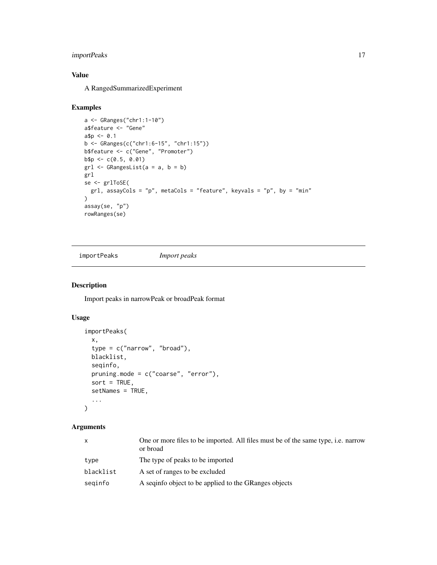# <span id="page-16-0"></span>importPeaks 17

# Value

A RangedSummarizedExperiment

#### Examples

```
a <- GRanges("chr1:1-10")
a$feature <- "Gene"
a$p < -0.1b <- GRanges(c("chr1:6-15", "chr1:15"))
b$feature <- c("Gene", "Promoter")
b$p <- c(0.5, 0.01)
gr1 \leftarrow GRangesList(a = a, b = b)
grl
se <- grlToSE(
  grl, assayCols = "p", metaCols = "feature", keyvals = "p", by = "min"
\lambdaassay(se, "p")
rowRanges(se)
```
<span id="page-16-1"></span>importPeaks *Import peaks*

# Description

Import peaks in narrowPeak or broadPeak format

# Usage

```
importPeaks(
 x,
  type = c("narrow", "broad"),
 blacklist,
 seqinfo,
 pruning.mode = c("coarse", "error"),
 sort = TRUE,setNames = TRUE,
  ...
)
```
# Arguments

| $\mathsf{X}$ | One or more files to be imported. All files must be of the same type, i.e. narrow<br>or broad |
|--------------|-----------------------------------------------------------------------------------------------|
| type         | The type of peaks to be imported                                                              |
| blacklist    | A set of ranges to be excluded                                                                |
| seginfo      | A seqinfo object to be applied to the GRanges objects                                         |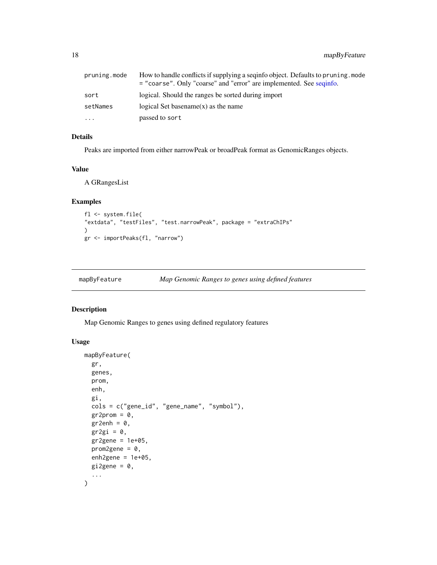<span id="page-17-0"></span>18 mapByFeature

| pruning.mode | How to handle conflicts if supplying a seqinfo object. Defaults to pruning, mode<br>= "coarse". Only "coarse" and "error" are implemented. See seqinfo. |
|--------------|---------------------------------------------------------------------------------------------------------------------------------------------------------|
| sort         | logical. Should the ranges be sorted during import                                                                                                      |
| setNames     | logical Set base name $(x)$ as the name                                                                                                                 |
| .            | passed to sort                                                                                                                                          |

# Details

Peaks are imported from either narrowPeak or broadPeak format as GenomicRanges objects.

# Value

A GRangesList

#### Examples

```
fl <- system.file(
"extdata", "testFiles", "test.narrowPeak", package = "extraChIPs"
)
gr <- importPeaks(fl, "narrow")
```
<span id="page-17-1"></span>

| mapByFeature | Map Genomic Ranges to genes using defined features |  |
|--------------|----------------------------------------------------|--|
|              |                                                    |  |

# Description

Map Genomic Ranges to genes using defined regulatory features

```
mapByFeature(
 gr,
  genes,
 prom,
 enh,
 gi,
  cols = c("gene_id", "gene_name", "symbol"),
 gr2prom = 0,
 gr2enh = 0,
 gr2gi = 0,
 gr2gene = 1e+05,
 prom2gene = 0,
 enh2gene = 1e+05,
 gi2gene = 0,
  ...
\mathcal{L}
```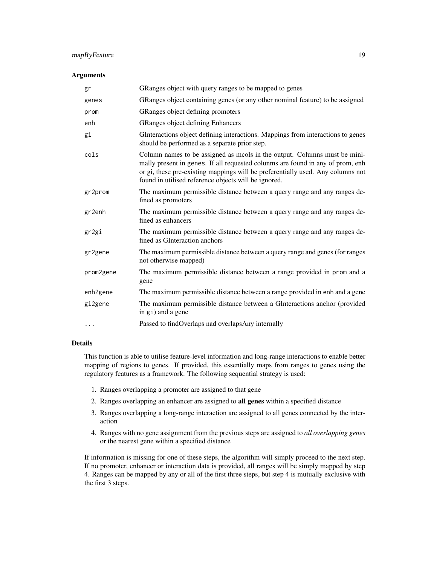# mapByFeature 19

#### Arguments

| gr                    | GRanges object with query ranges to be mapped to genes                                                                                                                                                                                                                                                 |
|-----------------------|--------------------------------------------------------------------------------------------------------------------------------------------------------------------------------------------------------------------------------------------------------------------------------------------------------|
| genes                 | GRanges object containing genes (or any other nominal feature) to be assigned                                                                                                                                                                                                                          |
| prom                  | GRanges object defining promoters                                                                                                                                                                                                                                                                      |
| enh                   | GRanges object defining Enhancers                                                                                                                                                                                                                                                                      |
| gi                    | GInteractions object defining interactions. Mappings from interactions to genes<br>should be performed as a separate prior step.                                                                                                                                                                       |
| cols                  | Column names to be assigned as mcols in the output. Columns must be mini-<br>mally present in genes. If all requested colunms are found in any of prom, enh<br>or gi, these pre-existing mappings will be preferentially used. Any columns not<br>found in utilised reference objects will be ignored. |
| gr2prom               | The maximum permissible distance between a query range and any ranges de-<br>fined as promoters                                                                                                                                                                                                        |
| gr2enh                | The maximum permissible distance between a query range and any ranges de-<br>fined as enhancers                                                                                                                                                                                                        |
| gr2gi                 | The maximum permissible distance between a query range and any ranges de-<br>fined as GInteraction anchors                                                                                                                                                                                             |
| gr2gene               | The maximum permissible distance between a query range and genes (for ranges<br>not otherwise mapped)                                                                                                                                                                                                  |
| prom2gene             | The maximum permissible distance between a range provided in prom and a<br>gene                                                                                                                                                                                                                        |
| enh <sub>2</sub> gene | The maximum permissible distance between a range provided in enh and a gene                                                                                                                                                                                                                            |
| gi2gene               | The maximum permissible distance between a GInteractions anchor (provided<br>in gi) and a gene                                                                                                                                                                                                         |
| $\cdots$              | Passed to findOverlaps nad overlapsAny internally                                                                                                                                                                                                                                                      |

# Details

This function is able to utilise feature-level information and long-range interactions to enable better mapping of regions to genes. If provided, this essentially maps from ranges to genes using the regulatory features as a framework. The following sequential strategy is used:

- 1. Ranges overlapping a promoter are assigned to that gene
- 2. Ranges overlapping an enhancer are assigned to all genes within a specified distance
- 3. Ranges overlapping a long-range interaction are assigned to all genes connected by the interaction
- 4. Ranges with no gene assignment from the previous steps are assigned to *all overlapping genes* or the nearest gene within a specified distance

If information is missing for one of these steps, the algorithm will simply proceed to the next step. If no promoter, enhancer or interaction data is provided, all ranges will be simply mapped by step 4. Ranges can be mapped by any or all of the first three steps, but step 4 is mutually exclusive with the first 3 steps.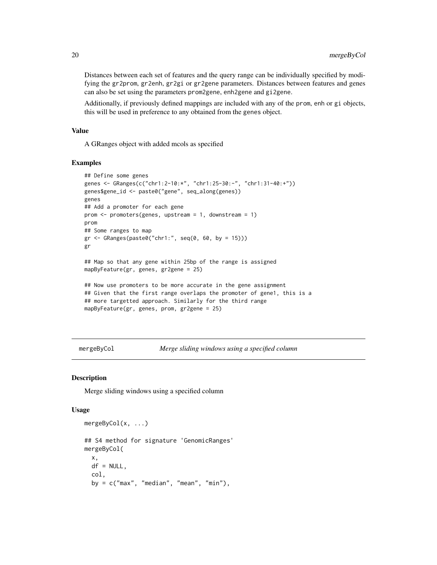Distances between each set of features and the query range can be individually specified by modifying the gr2prom, gr2enh, gr2gi or gr2gene parameters. Distances between features and genes can also be set using the parameters prom2gene, enh2gene and gi2gene.

Additionally, if previously defined mappings are included with any of the prom, enh or gi objects, this will be used in preference to any obtained from the genes object.

# Value

A GRanges object with added mcols as specified

#### Examples

```
## Define some genes
genes <- GRanges(c("chr1:2-10:*", "chr1:25-30:-", "chr1:31-40:+"))
genes$gene_id <- paste0("gene", seq_along(genes))
genes
## Add a promoter for each gene
prom <- promoters(genes, upstream = 1, downstream = 1)
prom
## Some ranges to map
gr <- GRanges(paste0("chr1:", seq(0, 60, by = 15)))
gr
## Map so that any gene within 25bp of the range is assigned
mapByFeature(gr, genes, gr2gene = 25)
## Now use promoters to be more accurate in the gene assignment
## Given that the first range overlaps the promoter of gene1, this is a
## more targetted approach. Similarly for the third range
mapByFeature(gr, genes, prom, gr2gene = 25)
```
<span id="page-19-1"></span>mergeByCol *Merge sliding windows using a specified column*

#### Description

Merge sliding windows using a specified column

```
mergeByCol(x, ...)
## S4 method for signature 'GenomicRanges'
mergeByCol(
  x,
  df = NULL,col,
  by = c("max", "median", "mean", "min"),
```
<span id="page-19-0"></span>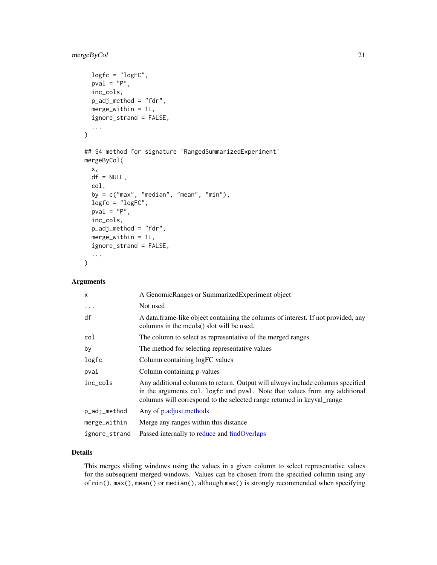# <span id="page-20-0"></span>mergeByCol 21

```
logfc = "logFC",pval = "P",inc_cols,
 p_adj_method = "fdr",
 merge_within = 1L,
  ignore_strand = FALSE,
  ...
\mathcal{L}## S4 method for signature 'RangedSummarizedExperiment'
mergeByCol(
 x,
 df = NULL,col,
 by = c("max", "median", "mean", "min"),logfc = "logFC",
 pval = "P",inc_cols,
 p\_adj\_method = "fdr",merge\_within = 1L,
  ignore_strand = FALSE,
  ...
\mathcal{L}
```
# Arguments

| $\mathsf{x}$  | A GenomicRanges or SummarizedExperiment object                                                                                                                                                                                         |
|---------------|----------------------------------------------------------------------------------------------------------------------------------------------------------------------------------------------------------------------------------------|
| $\cdots$      | Not used                                                                                                                                                                                                                               |
| df            | A data frame-like object containing the columns of interest. If not provided, any<br>columns in the mcols() slot will be used.                                                                                                         |
| col           | The column to select as representative of the merged ranges                                                                                                                                                                            |
| by            | The method for selecting representative values                                                                                                                                                                                         |
| logfc         | Column containing logFC values                                                                                                                                                                                                         |
| pval          | Column containing p-values                                                                                                                                                                                                             |
| inc cols      | Any additional columns to return. Output will always include columns specified<br>in the arguments col, logfc and pval. Note that values from any additional<br>columns will correspond to the selected range returned in keyval_range |
| p_adj_method  | Any of p.adjust.methods                                                                                                                                                                                                                |
| merge_within  | Merge any ranges within this distance.                                                                                                                                                                                                 |
| ignore_strand | Passed internally to reduce and findOverlaps                                                                                                                                                                                           |

# Details

This merges sliding windows using the values in a given column to select representative values for the subsequent merged windows. Values can be chosen from the specified column using any of min(), max(), mean() or median(), although max() is strongly recommended when specifying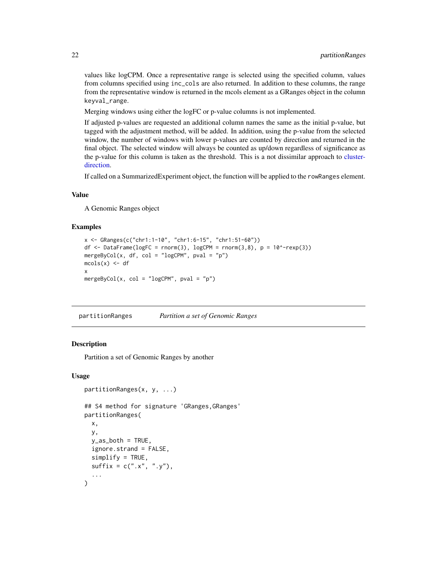values like logCPM. Once a representative range is selected using the specified column, values from columns specified using inc\_cols are also returned. In addition to these columns, the range from the representative window is returned in the mcols element as a GRanges object in the column keyval\_range.

Merging windows using either the logFC or p-value columns is not implemented.

If adjusted p-values are requested an additional column names the same as the initial p-value, but tagged with the adjustment method, will be added. In addition, using the p-value from the selected window, the number of windows with lower p-values are counted by direction and returned in the final object. The selected window will always be counted as up/down regardless of significance as the p-value for this column is taken as the threshold. This is a not dissimilar approach to [cluster](#page-0-0)[direction.](#page-0-0)

If called on a SummarizedExperiment object, the function will be applied to the rowRanges element.

#### Value

A Genomic Ranges object

#### Examples

```
x <- GRanges(c("chr1:1-10", "chr1:6-15", "chr1:51-60"))
df <- DataFrame(logFC = rnorm(3), logCPM = rnorm(3,8), p = 10^{\circ}-rexp(3))
mergeByCol(x, df, col = "logCPM", pval = "p")
mcols(x) < - dfx
mergeByCol(x, col = "logCPM", pval = "p")
```
<span id="page-21-1"></span>partitionRanges *Partition a set of Genomic Ranges*

#### **Description**

Partition a set of Genomic Ranges by another

```
partitionRanges(x, y, ...)
## S4 method for signature 'GRanges,GRanges'
partitionRanges(
  x,
  y,
  y<sub>as</sub>_both = TRUE,
  ignore.strand = FALSE,
  simality = TRUE,
  sufficient + c("x", "y"),
  ...
)
```
<span id="page-21-0"></span>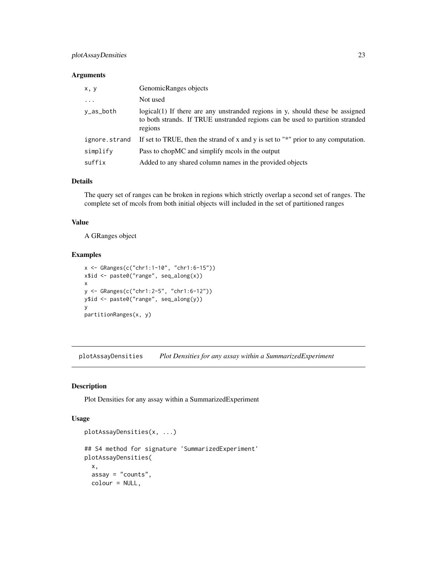#### <span id="page-22-0"></span>Arguments

| x, y          | GenomicRanges objects                                                                                                                                                     |
|---------------|---------------------------------------------------------------------------------------------------------------------------------------------------------------------------|
| $\ddots$ .    | Not used                                                                                                                                                                  |
| y_as_both     | logical(1) If there are any unstranded regions in y, should these be assigned<br>to both strands. If TRUE unstranded regions can be used to partition stranded<br>regions |
| ignore.strand | If set to TRUE, then the strand of x and y is set to " $*$ " prior to any computation.                                                                                    |
| simplify      | Pass to chopMC and simplify mools in the output                                                                                                                           |
| suffix        | Added to any shared column names in the provided objects                                                                                                                  |

# Details

The query set of ranges can be broken in regions which strictly overlap a second set of ranges. The complete set of mcols from both initial objects will included in the set of partitioned ranges

#### Value

A GRanges object

# Examples

```
x <- GRanges(c("chr1:1-10", "chr1:6-15"))
x$id <- paste0("range", seq_along(x))
x
y <- GRanges(c("chr1:2-5", "chr1:6-12"))
y$id <- paste0("range", seq_along(y))
y
partitionRanges(x, y)
```
<span id="page-22-1"></span>plotAssayDensities *Plot Densities for any assay within a SummarizedExperiment*

#### Description

Plot Densities for any assay within a SummarizedExperiment

```
plotAssayDensities(x, ...)
## S4 method for signature 'SummarizedExperiment'
plotAssayDensities(
 x,
  assay = "counts",
 colour = NULL,
```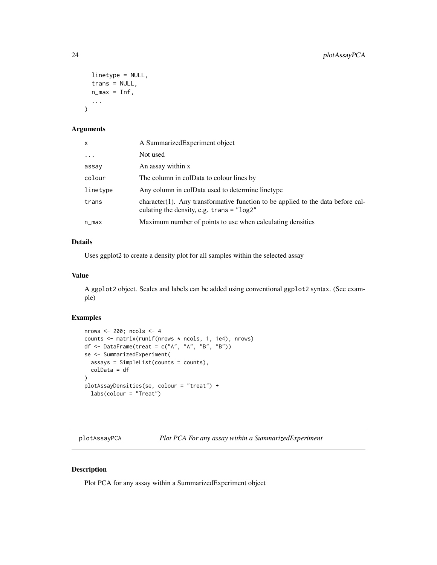```
linetype = NULL,
 trans = NULL,
 n_{max} = Inf,...
)
```
# Arguments

| x        | A Summarized Experiment object                                                                                                 |
|----------|--------------------------------------------------------------------------------------------------------------------------------|
| $\cdots$ | Not used                                                                                                                       |
| assay    | An assay within x                                                                                                              |
| colour   | The column in colData to colour lines by                                                                                       |
| linetype | Any column in colData used to determine linetype                                                                               |
| trans    | character(1). Any transformative function to be applied to the data before cal-<br>culating the density, e.g. $trans = "log2"$ |
| n_max    | Maximum number of points to use when calculating densities                                                                     |
|          |                                                                                                                                |

# Details

Uses ggplot2 to create a density plot for all samples within the selected assay

# Value

A ggplot2 object. Scales and labels can be added using conventional ggplot2 syntax. (See example)

# Examples

```
nrows <- 200; ncols <- 4
counts <- matrix(runif(nrows * ncols, 1, 1e4), nrows)
df <- DataFrame(treat = c("A", "A", "B", "B"))
se <- SummarizedExperiment(
 assays = SimpleList(counts = counts),
  colData = df
\lambdaplotAssayDensities(se, colour = "treat") +
  labs(colour = "Treat")
```
<span id="page-23-1"></span>plotAssayPCA *Plot PCA For any assay within a SummarizedExperiment*

# Description

Plot PCA for any assay within a SummarizedExperiment object

<span id="page-23-0"></span>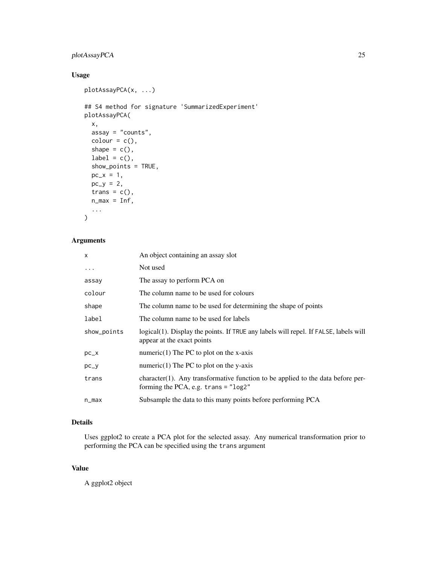# plotAssayPCA 25

# Usage

```
plotAssayPCA(x, ...)
## S4 method for signature 'SummarizedExperiment'
plotAssayPCA(
 x,
 assay = "counts",
 color = c(),
  shape = c(),
 label = c(),
  show_points = TRUE,
 pc_{-}x = 1,
 pc_{y} = 2,
 trans = c(),
 n_{max} = Inf,...
\mathcal{L}
```
# Arguments

| x           | An object containing an assay slot                                                                                        |
|-------------|---------------------------------------------------------------------------------------------------------------------------|
| $\cdots$    | Not used                                                                                                                  |
| assay       | The assay to perform PCA on                                                                                               |
| colour      | The column name to be used for colours                                                                                    |
| shape       | The column name to be used for determining the shape of points                                                            |
| label       | The column name to be used for labels                                                                                     |
| show_points | logical (1). Display the points. If TRUE any labels will repel. If FALSE, labels will<br>appear at the exact points       |
| $pc_{-}x$   | numeric(1) The PC to plot on the x-axis                                                                                   |
| $pc_y$      | numeric(1) The PC to plot on the y-axis                                                                                   |
| trans       | character(1). Any transformative function to be applied to the data before per-<br>forming the PCA, e.g. $trans = "log2"$ |
| n_max       | Subsample the data to this many points before performing PCA                                                              |

# Details

Uses ggplot2 to create a PCA plot for the selected assay. Any numerical transformation prior to performing the PCA can be specified using the trans argument

# Value

A ggplot2 object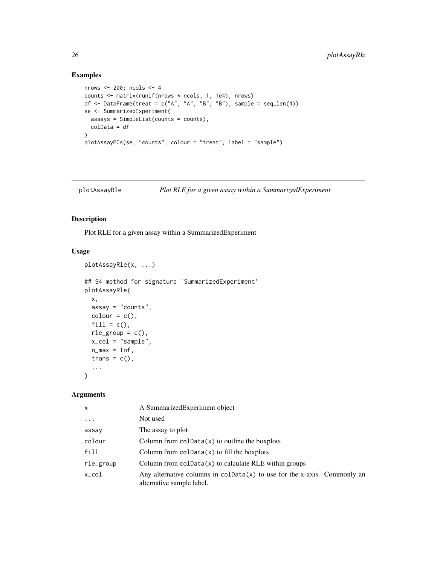# Examples

```
nrows <- 200; ncols <- 4
counts <- matrix(runif(nrows * ncols, 1, 1e4), nrows)
df <- DataFrame(treat = c("A", "A", "B", "B"), sample = seq\_len(4))
se <- SummarizedExperiment(
 assays = SimpleList(counts = counts),colData = df
\lambdaplotAssayPCA(se, "counts", colour = "treat", label = "sample")
```
<span id="page-25-1"></span>

| Plot RLE for a given assay within a SummarizedExperiment<br>plotAssayRle |
|--------------------------------------------------------------------------|
|--------------------------------------------------------------------------|

# Description

Plot RLE for a given assay within a SummarizedExperiment

# Usage

```
plotAssayRle(x, ...)
## S4 method for signature 'SummarizedExperiment'
plotAssayRle(
 x,
 assay = "counts",
 color = c(),
 fill = c(),
 rle\_group = c(),
 x_col = "sample",
 n_{max} = Inf,trans = c(),
  ...
\mathcal{L}
```
#### Arguments

| x          | A Summarized Experiment object                                                                          |
|------------|---------------------------------------------------------------------------------------------------------|
| $\ddots$ . | Not used                                                                                                |
| assay      | The assay to plot                                                                                       |
| colour     | Column from $\text{colData}(x)$ to outline the boxplots                                                 |
| fill       | Column from $\text{colData}(x)$ to fill the boxplots                                                    |
| rle_group  | Column from $colData(x)$ to calculate RLE within groups                                                 |
| x_col      | Any alternative columns in $colData(x)$ to use for the x-axis. Commonly an<br>alternative sample label. |

<span id="page-25-0"></span>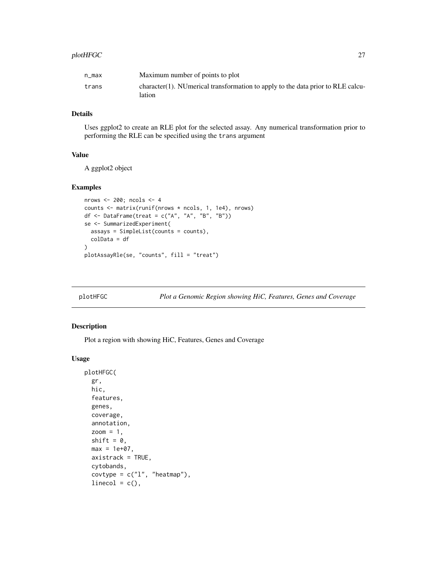#### <span id="page-26-0"></span> $p$ lotHFGC  $\sim$  27

| n max | Maximum number of points to plot                                                             |
|-------|----------------------------------------------------------------------------------------------|
| trans | $character(1)$ . NUmerical transformation to apply to the data prior to RLE calcu-<br>lation |

# Details

Uses ggplot2 to create an RLE plot for the selected assay. Any numerical transformation prior to performing the RLE can be specified using the trans argument

# Value

A ggplot2 object

# Examples

```
nrows <- 200; ncols <- 4
counts <- matrix(runif(nrows * ncols, 1, 1e4), nrows)
df <- DataFrame(treat = c("A", "A", "B", "B"))
se <- SummarizedExperiment(
  assays = SimpleList(counts = counts),
  colData = df
)
plotAssayRle(se, "counts", fill = "treat")
```
<span id="page-26-1"></span>plotHFGC *Plot a Genomic Region showing HiC, Features, Genes and Coverage*

#### Description

Plot a region with showing HiC, Features, Genes and Coverage

```
plotHFGC(
  gr,
 hic,
 features,
  genes,
 coverage,
  annotation,
 zoom = 1,
  shift = 0,
 max = 1e+07,
  axistrack = TRUE,
  cytobands,
  covtype = c("l", "heatmap"),linecol = c(),
```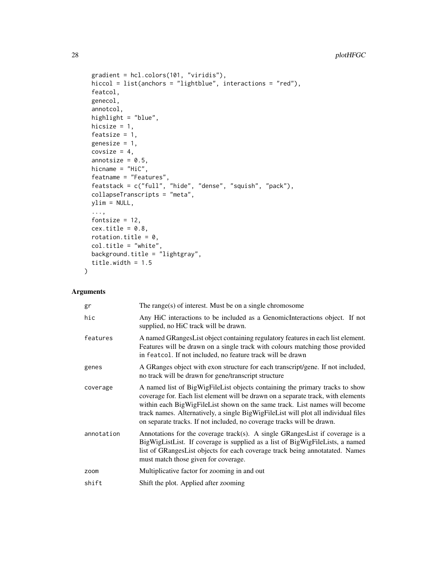```
gradient = hcl.colors(101, "viridis"),
  hiccol = list(anchors = "lightblue", interactions = "red"),
  featcol,
 genecol,
  annotcol,
 highlight = "blue",
 hicsize = 1,
  featsize = 1,
  genesize = 1,
 covsize = 4,
  annotsize = 0.5,
 hicname = "HiC",
  featname = "Features",
 featstack = c("full", "hide", "dense", "squish", "pack"),
 collapseTranscripts = "meta",
 ylim = NULL,
  ...,
  fontsize = 12,
 cex.title = 0.8,
 rotation.title = 0,
 col.title = "white",
 background.title = "lightgray",
 title.width = 1.5
\mathcal{L}
```
# Arguments

| gr         | The range(s) of interest. Must be on a single chromosome                                                                                                                                                                                                                                                                                                                                                       |
|------------|----------------------------------------------------------------------------------------------------------------------------------------------------------------------------------------------------------------------------------------------------------------------------------------------------------------------------------------------------------------------------------------------------------------|
| hic        | Any HiC interactions to be included as a GenomicInteractions object. If not<br>supplied, no HiC track will be drawn.                                                                                                                                                                                                                                                                                           |
| features   | A named GRangesList object containing regulatory features in each list element.<br>Features will be drawn on a single track with colours matching those provided<br>in featcol. If not included, no feature track will be drawn                                                                                                                                                                                |
| genes      | A GRanges object with exon structure for each transcript/gene. If not included,<br>no track will be drawn for gene/transcript structure                                                                                                                                                                                                                                                                        |
| coverage   | A named list of BigWigFileList objects containing the primary tracks to show<br>coverage for. Each list element will be drawn on a separate track, with elements<br>within each BigWigFileList shown on the same track. List names will become<br>track names. Alternatively, a single BigWigFileList will plot all individual files<br>on separate tracks. If not included, no coverage tracks will be drawn. |
| annotation | Annotations for the coverage track(s). A single GRangesList if coverage is a<br>BigWigListList. If coverage is supplied as a list of BigWigFileLists, a named<br>list of GRangesList objects for each coverage track being annotatated. Names<br>must match those given for coverage.                                                                                                                          |
| zoom       | Multiplicative factor for zooming in and out                                                                                                                                                                                                                                                                                                                                                                   |
| shift      | Shift the plot. Applied after zooming                                                                                                                                                                                                                                                                                                                                                                          |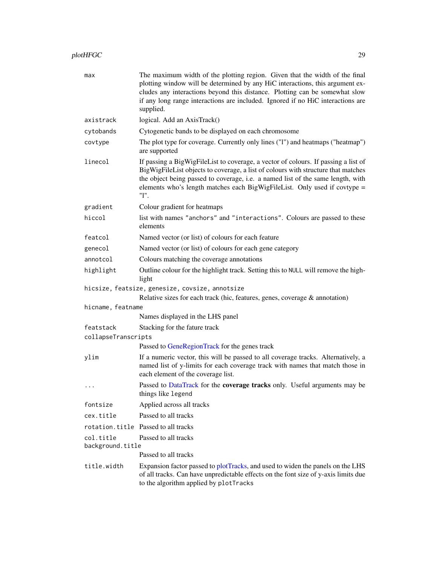# <span id="page-28-0"></span>plotHFGC 29

| max                              | The maximum width of the plotting region. Given that the width of the final<br>plotting window will be determined by any HiC interactions, this argument ex-<br>cludes any interactions beyond this distance. Plotting can be somewhat slow<br>if any long range interactions are included. Ignored if no HiC interactions are<br>supplied.     |
|----------------------------------|-------------------------------------------------------------------------------------------------------------------------------------------------------------------------------------------------------------------------------------------------------------------------------------------------------------------------------------------------|
| axistrack                        | logical. Add an AxisTrack()                                                                                                                                                                                                                                                                                                                     |
| cytobands                        | Cytogenetic bands to be displayed on each chromosome                                                                                                                                                                                                                                                                                            |
| covtype                          | The plot type for coverage. Currently only lines ("1") and heatmaps ("heatmap")<br>are supported                                                                                                                                                                                                                                                |
| linecol                          | If passing a BigWigFileList to coverage, a vector of colours. If passing a list of<br>BigWigFileList objects to coverage, a list of colours with structure that matches<br>the object being passed to coverage, i.e. a named list of the same length, with<br>elements who's length matches each BigWigFileList. Only used if covtype =<br>"1". |
| gradient                         | Colour gradient for heatmaps                                                                                                                                                                                                                                                                                                                    |
| hiccol                           | list with names "anchors" and "interactions". Colours are passed to these<br>elements                                                                                                                                                                                                                                                           |
| featcol                          | Named vector (or list) of colours for each feature                                                                                                                                                                                                                                                                                              |
| genecol                          | Named vector (or list) of colours for each gene category                                                                                                                                                                                                                                                                                        |
| annotcol                         | Colours matching the coverage annotations                                                                                                                                                                                                                                                                                                       |
| highlight                        | Outline colour for the highlight track. Setting this to NULL will remove the high-<br>light                                                                                                                                                                                                                                                     |
|                                  | hicsize, featsize, genesize, covsize, annotsize<br>Relative sizes for each track (hic, features, genes, coverage $\&$ annotation)                                                                                                                                                                                                               |
| hicname, featname                |                                                                                                                                                                                                                                                                                                                                                 |
|                                  | Names displayed in the LHS panel                                                                                                                                                                                                                                                                                                                |
| featstack<br>collapseTranscripts | Stacking for the fature track                                                                                                                                                                                                                                                                                                                   |
|                                  | Passed to GeneRegionTrack for the genes track                                                                                                                                                                                                                                                                                                   |
| ylim                             | If a numeric vector, this will be passed to all coverage tracks. Alternatively, a<br>named list of y-limits for each coverage track with names that match those in<br>each element of the coverage list.                                                                                                                                        |
| $\cdots$                         | Passed to DataTrack for the coverage tracks only. Useful arguments may be<br>things like legend                                                                                                                                                                                                                                                 |
| fontsize                         | Applied across all tracks                                                                                                                                                                                                                                                                                                                       |
| cex.title                        | Passed to all tracks                                                                                                                                                                                                                                                                                                                            |
|                                  | rotation.title Passed to all tracks                                                                                                                                                                                                                                                                                                             |
| col.title<br>background.title    | Passed to all tracks                                                                                                                                                                                                                                                                                                                            |
|                                  | Passed to all tracks                                                                                                                                                                                                                                                                                                                            |
| title.width                      | Expansion factor passed to plotTracks, and used to widen the panels on the LHS<br>of all tracks. Can have unpredictable effects on the font size of y-axis limits due<br>to the algorithm applied by plotTracks                                                                                                                                 |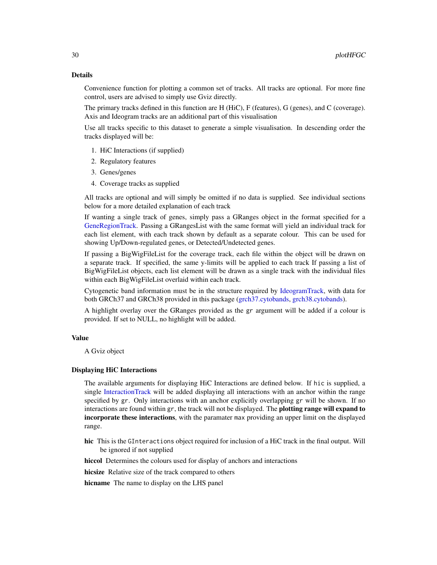#### Details

Convenience function for plotting a common set of tracks. All tracks are optional. For more fine control, users are advised to simply use Gviz directly.

The primary tracks defined in this function are H (HiC), F (features), G (genes), and C (coverage). Axis and Ideogram tracks are an additional part of this visualisation

Use all tracks specific to this dataset to generate a simple visualisation. In descending order the tracks displayed will be:

- 1. HiC Interactions (if supplied)
- 2. Regulatory features
- 3. Genes/genes
- 4. Coverage tracks as supplied

All tracks are optional and will simply be omitted if no data is supplied. See individual sections below for a more detailed explanation of each track

If wanting a single track of genes, simply pass a GRanges object in the format specified for a [GeneRegionTrack.](#page-0-0) Passing a GRangesList with the same format will yield an individual track for each list element, with each track shown by default as a separate colour. This can be used for showing Up/Down-regulated genes, or Detected/Undetected genes.

If passing a BigWigFileList for the coverage track, each file within the object will be drawn on a separate track. If specified, the same y-limits will be applied to each track If passing a list of BigWigFileList objects, each list element will be drawn as a single track with the individual files within each BigWigFileList overlaid within each track.

Cytogenetic band information must be in the structure required by [IdeogramTrack,](#page-0-0) with data for both GRCh37 and GRCh38 provided in this package [\(grch37.cytobands,](#page-8-1) [grch38.cytobands\)](#page-8-1).

A highlight overlay over the GRanges provided as the gr argument will be added if a colour is provided. If set to NULL, no highlight will be added.

# Value

A Gviz object

#### Displaying HiC Interactions

The available arguments for displaying HiC Interactions are defined below. If hic is supplied, a single [InteractionTrack](#page-0-0) will be added displaying all interactions with an anchor within the range specified by gr. Only interactions with an anchor explicitly overlapping gr will be shown. If no interactions are found within gr, the track will not be displayed. The **plotting range will expand to** incorporate these interactions, with the paramater max providing an upper limit on the displayed range.

hic This is the GInteractions object required for inclusion of a HiC track in the final output. Will be ignored if not supplied

hiccol Determines the colours used for display of anchors and interactions

hicsize Relative size of the track compared to others

hicname The name to display on the LHS panel

<span id="page-29-0"></span>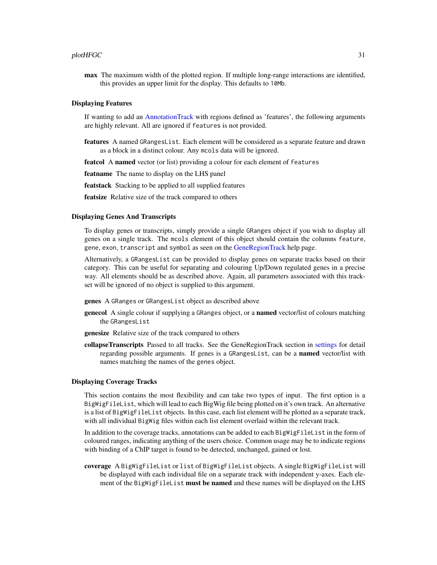#### <span id="page-30-0"></span> $p$ lotHFGC  $\qquad \qquad 31$

max The maximum width of the plotted region. If multiple long-range interactions are identified, this provides an upper limit for the display. This defaults to 10Mb.

#### Displaying Features

If wanting to add an [AnnotationTrack](#page-0-0) with regions defined as 'features', the following arguments are highly relevant. All are ignored if features is not provided.

- features A named GRangesList. Each element will be considered as a separate feature and drawn as a block in a distinct colour. Any mcols data will be ignored.
- featcol A named vector (or list) providing a colour for each element of features

featname The name to display on the LHS panel

featstack Stacking to be applied to all supplied features

featsize Relative size of the track compared to others

#### Displaying Genes And Transcripts

To display genes or transcripts, simply provide a single GRanges object if you wish to display all genes on a single track. The mcols element of this object should contain the columns feature, gene, exon, transcript and symbol as seen on the [GeneRegionTrack](#page-0-0) help page.

Alternatively, a GRangesList can be provided to display genes on separate tracks based on their category. This can be useful for separating and colouring Up/Down regulated genes in a precise way. All elements should be as described above. Again, all parameters associated with this trackset will be ignored of no object is supplied to this argument.

- genes A GRanges or GRangesList object as described above
- **genecol** A single colour if supplying a GRanges object, or a **named** vector/list of colours matching the GRangesList
- genesize Relative size of the track compared to others
- collapseTranscripts Passed to all tracks. See the GeneRegionTrack section in [settings](#page-0-0) for detail regarding possible arguments. If genes is a GRangesList, can be a named vector/list with names matching the names of the genes object.

#### Displaying Coverage Tracks

This section contains the most flexibility and can take two types of input. The first option is a BigWigFileList, which will lead to each BigWig file being plotted on it's own track. An alternative is a list of BigWigFileList objects. In this case, each list element will be plotted as a separate track, with all individual BigWig files within each list element overlaid within the relevant track.

In addition to the coverage tracks, annotations can be added to each BigWigFileList in the form of coloured ranges, indicating anything of the users choice. Common usage may be to indicate regions with binding of a ChIP target is found to be detected, unchanged, gained or lost.

coverage A BigWigFileList or list of BigWigFileList objects. A single BigWigFileList will be displayed with each individual file on a separate track with independent y-axes. Each element of the BigWigFileList must be named and these names will be displayed on the LHS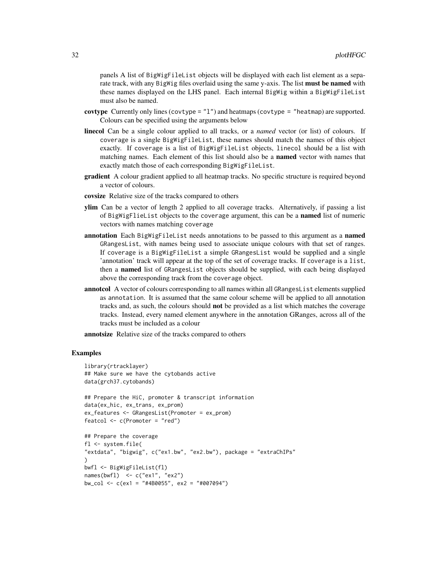panels A list of BigWigFileList objects will be displayed with each list element as a separate track, with any BigWig files overlaid using the same y-axis. The list **must be named** with these names displayed on the LHS panel. Each internal BigWig within a BigWigFileList must also be named.

- covtype Currently only lines (covtype =  $"1"$ ) and heatmaps (covtype =  $"heatmap$ ) are supported. Colours can be specified using the arguments below
- linecol Can be a single colour applied to all tracks, or a *named* vector (or list) of colours. If coverage is a single BigWigFileList, these names should match the names of this object exactly. If coverage is a list of BigWigFileList objects, linecol should be a list with matching names. Each element of this list should also be a named vector with names that exactly match those of each corresponding BigWigFileList.
- gradient A colour gradient applied to all heatmap tracks. No specific structure is required beyond a vector of colours.
- covsize Relative size of the tracks compared to others
- ylim Can be a vector of length 2 applied to all coverage tracks. Alternatively, if passing a list of BigWigFlieList objects to the coverage argument, this can be a named list of numeric vectors with names matching coverage
- annotation Each BigWigFileList needs annotations to be passed to this argument as a named GRangesList, with names being used to associate unique colours with that set of ranges. If coverage is a BigWigFileList a simple GRangesList would be supplied and a single 'annotation' track will appear at the top of the set of coverage tracks. If coverage is a list, then a named list of GRangesList objects should be supplied, with each being displayed above the corresponding track from the coverage object.
- annotcol A vector of colours corresponding to all names within all GRangesList elements supplied as annotation. It is assumed that the same colour scheme will be applied to all annotation tracks and, as such, the colours should not be provided as a list which matches the coverage tracks. Instead, every named element anywhere in the annotation GRanges, across all of the tracks must be included as a colour

annotsize Relative size of the tracks compared to others

```
library(rtracklayer)
## Make sure we have the cytobands active
data(grch37.cytobands)
## Prepare the HiC, promoter & transcript information
```

```
data(ex_hic, ex_trans, ex_prom)
ex_features <- GRangesList(Promoter = ex_prom)
featcol <- c(Promoter = "red")
```

```
## Prepare the coverage
fl <- system.file(
"extdata", "bigwig", c("ex1.bw", "ex2.bw"), package = "extraChIPs"
)
bwfl <- BigWigFileList(fl)
names(bwfl) <- c("ex1", "ex2")
bw_col <- c(ex1 = "#4B0055", ex2 = "#007094")
```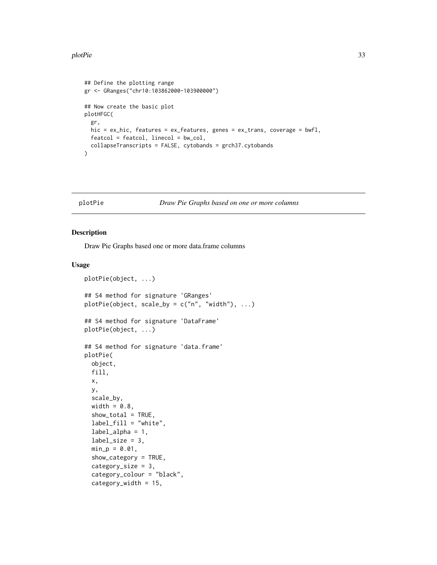#### <span id="page-32-0"></span>plotPie 33

```
## Define the plotting range
gr <- GRanges("chr10:103862000-103900000")
## Now create the basic plot
plotHFGC(
 gr,
  hic = ex_hic, features = ex_features, genes = ex_trans, coverage = bwfl,
  featcol = featcol, linecol = bw_col,
  collapseTranscripts = FALSE, cytobands = grch37.cytobands
\mathcal{L}
```
#### <span id="page-32-1"></span>plotPie *Draw Pie Graphs based on one or more columns*

#### Description

Draw Pie Graphs based one or more data.frame columns

```
plotPie(object, ...)
## S4 method for signature 'GRanges'
plotPie(object, scale_by = c("n", "width"), ...)## S4 method for signature 'DataFrame'
plotPie(object, ...)
## S4 method for signature 'data.frame'
plotPie(
 object,
  fill,
  x,
 y,
  scale_by,
  width = 0.8,
  show_total = TRUE,
  label_fill = "white",label_1alpha = 1,
  label\_size = 3,
  min_p = 0.01,
  show_category = TRUE,
  category_size = 3,
  category_colour = "black",
  category_width = 15,
```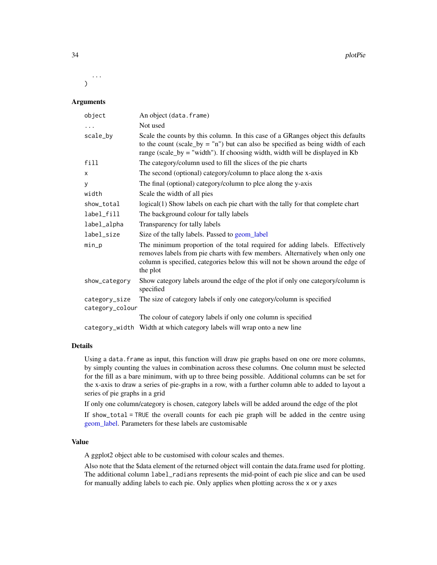<span id="page-33-0"></span>... )

# Arguments

| object                           | An object (data.frame)                                                                                                                                                                                                                                     |
|----------------------------------|------------------------------------------------------------------------------------------------------------------------------------------------------------------------------------------------------------------------------------------------------------|
| $\ldots$                         | Not used                                                                                                                                                                                                                                                   |
| scale_by                         | Scale the counts by this column. In this case of a GRanges object this defaults<br>to the count (scale_by = $\ln$ ") but can also be specified as being width of each<br>range (scale_by = "width"). If choosing width, width will be displayed in Kb      |
| fill                             | The category/column used to fill the slices of the pie charts                                                                                                                                                                                              |
| X                                | The second (optional) category/column to place along the x-axis                                                                                                                                                                                            |
| У                                | The final (optional) category/column to plce along the y-axis                                                                                                                                                                                              |
| width                            | Scale the width of all pies                                                                                                                                                                                                                                |
| show_total                       | logical(1) Show labels on each pie chart with the tally for that complete chart                                                                                                                                                                            |
| label_fill                       | The background colour for tally labels                                                                                                                                                                                                                     |
| label_alpha                      | Transparency for tally labels                                                                                                                                                                                                                              |
| label_size                       | Size of the tally labels. Passed to geom_label                                                                                                                                                                                                             |
| $min_p$                          | The minimum proportion of the total required for adding labels. Effectively<br>removes labels from pie charts with few members. Alternatively when only one<br>column is specified, categories below this will not be shown around the edge of<br>the plot |
| show_category                    | Show category labels around the edge of the plot if only one category/column is<br>specified                                                                                                                                                               |
| category_size<br>category_colour | The size of category labels if only one category/column is specified                                                                                                                                                                                       |
|                                  | The colour of category labels if only one column is specified                                                                                                                                                                                              |
|                                  | category_width Width at which category labels will wrap onto a new line                                                                                                                                                                                    |

### Details

Using a data. frame as input, this function will draw pie graphs based on one ore more columns, by simply counting the values in combination across these columns. One column must be selected for the fill as a bare minimum, with up to three being possible. Additional columns can be set for the x-axis to draw a series of pie-graphs in a row, with a further column able to added to layout a series of pie graphs in a grid

If only one column/category is chosen, category labels will be added around the edge of the plot

If show\_total = TRUE the overall counts for each pie graph will be added in the centre using [geom\\_label.](#page-0-0) Parameters for these labels are customisable

# Value

A ggplot2 object able to be customised with colour scales and themes.

Also note that the \$data element of the returned object will contain the data.frame used for plotting. The additional column label\_radians represents the mid-point of each pie slice and can be used for manually adding labels to each pie. Only applies when plotting across the x or y axes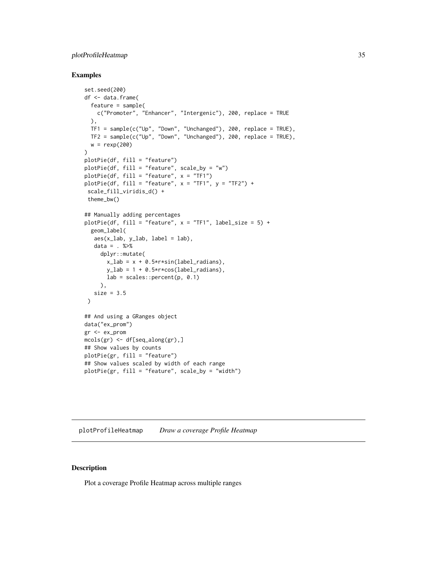# <span id="page-34-0"></span>plotProfileHeatmap 35

#### Examples

```
set.seed(200)
df <- data.frame(
  feature = sample(
    c("Promoter", "Enhancer", "Intergenic"), 200, replace = TRUE
  ),
  TF1 = sample(c("Up", "Down", "Unchanged"), 200, replace = TRUE),
  TF2 = sample(c("Up", "Down", "Unchanged"), 200, replace = TRUE),
  w = \text{rev}(200)\lambdaplotPie(df, fill = "feature")
plotPie(df, fill = "feature", scale_by = "w")
plotPie(df, fill = "feature", x = "TF1")
plotPic(df, fill = "feature", x = "TF1", y = "TF2") +scale_fill_viridis_d() +
 theme_bw()
## Manually adding percentages
plotPic(df, fill = "feature", x = "TF1", label_size = 5) +geom_label(
  aes(x_lab, y_lab, label = lab),
  data = . %>%
     dplyr::mutate(
      x<sub>-</sub>lab = x + 0.5*r*sin(label_radians),
       y_{\text{lab}} = 1 + 0.5*r*cos(label_radians),
      lab = scales::percent(p, 0.1)),
   size = 3.5)
## And using a GRanges object
data("ex_prom")
gr <- ex_prom
mcols(gr) <- df[seq_along(gr),]
## Show values by counts
plotPie(gr, fill = "feature")
## Show values scaled by width of each range
plotPie(gr, fill = "feature", scale_by = "width")
```
<span id="page-34-1"></span>plotProfileHeatmap *Draw a coverage Profile Heatmap*

#### Description

Plot a coverage Profile Heatmap across multiple ranges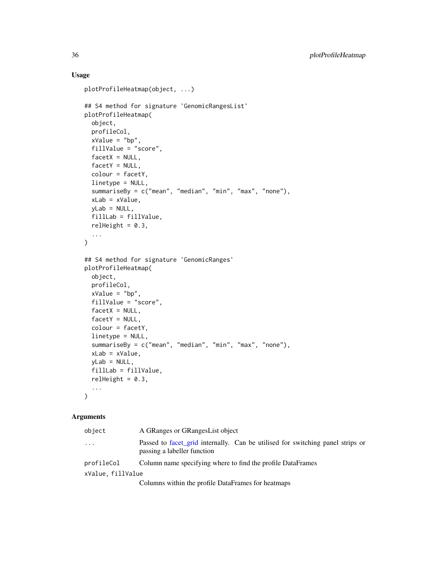# Usage

```
plotProfileHeatmap(object, ...)
## S4 method for signature 'GenomicRangesList'
plotProfileHeatmap(
 object,
  profileCol,
 xValue = "bp",
  fillValue = "score",
  facetX = NULL,facetY = NULL,
 colour = facetY,
 linetype = NULL,
  summariseBy = c("mean", "median", "min", "max", "none"),
 xLab = xValue,
 yLab = NULL,fillLab = fillValue,
 relHeight = 0.3,
  ...
)
## S4 method for signature 'GenomicRanges'
plotProfileHeatmap(
 object,
 profileCol,
  xValue = "bp",
  fillValue = "score",
  facetX = NULL,
  facetY = NULL,color = facetY,linetype = NULL,
  summariseBy = c("mean", "median", "min", "max", "none"),
  xLab = xValue,
 yLab = NULL,fillLab = fillValue,
 relHeight = 0.3,
  ...
\mathcal{L}
```
#### Arguments

| object            | A GRanges or GRanges List object                                                                              |
|-------------------|---------------------------------------------------------------------------------------------------------------|
| $\ddots$          | Passed to facet_grid internally. Can be utilised for switching panel strips or<br>passing a labeller function |
| profileCol        | Column name specifying where to find the profile DataFrames                                                   |
| xValue, fillValue |                                                                                                               |
|                   | Columns within the profile DataFrames for heatmaps                                                            |

<span id="page-35-0"></span>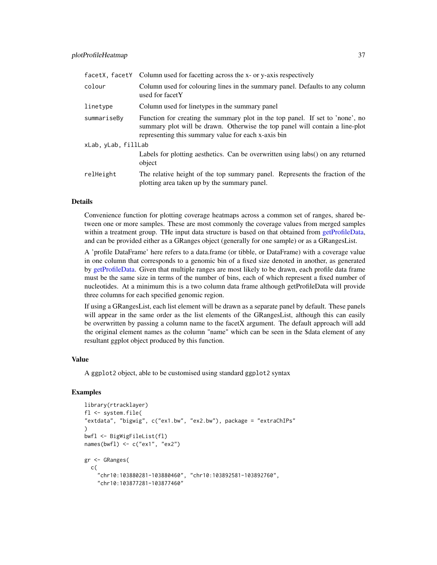<span id="page-36-0"></span>

| facetX, facetY      | Column used for facetting across the x- or y-axis respectively                                                                                                                                                       |  |
|---------------------|----------------------------------------------------------------------------------------------------------------------------------------------------------------------------------------------------------------------|--|
| colour              | Column used for colouring lines in the summary panel. Defaults to any column<br>used for facetY                                                                                                                      |  |
| linetype            | Column used for linetypes in the summary panel                                                                                                                                                                       |  |
| summariseBy         | Function for creating the summary plot in the top panel. If set to 'none', no<br>summary plot will be drawn. Otherwise the top panel will contain a line-plot<br>representing this summary value for each x-axis bin |  |
| xLab, yLab, fillLab |                                                                                                                                                                                                                      |  |
|                     | Labels for plotting aesthetics. Can be overwritten using labs() on any returned<br>object                                                                                                                            |  |
| relHeight           | The relative height of the top summary panel. Represents the fraction of the<br>plotting area taken up by the summary panel.                                                                                         |  |

# Details

Convenience function for plotting coverage heatmaps across a common set of ranges, shared between one or more samples. These are most commonly the coverage values from merged samples within a treatment group. THe input data structure is based on that obtained from [getProfileData,](#page-13-1) and can be provided either as a GRanges object (generally for one sample) or as a GRangesList.

A 'profile DataFrame' here refers to a data.frame (or tibble, or DataFrame) with a coverage value in one column that corresponds to a genomic bin of a fixed size denoted in another, as generated by [getProfileData.](#page-13-1) Given that multiple ranges are most likely to be drawn, each profile data frame must be the same size in terms of the number of bins, each of which represent a fixed number of nucleotides. At a minimum this is a two column data frame although getProfileData will provide three columns for each specified genomic region.

If using a GRangesList, each list element will be drawn as a separate panel by default. These panels will appear in the same order as the list elements of the GRangesList, although this can easily be overwritten by passing a column name to the facetX argument. The default approach will add the original element names as the column "name" which can be seen in the \$data element of any resultant ggplot object produced by this function.

#### Value

A ggplot2 object, able to be customised using standard ggplot2 syntax

```
library(rtracklayer)
fl <- system.file(
"extdata", "bigwig", c("ex1.bw", "ex2.bw"), package = "extraChIPs"
)
bwfl <- BigWigFileList(fl)
names(bwfl) <- c("ex1", "ex2")
gr <- GRanges(
 c(
    "chr10:103880281-103880460", "chr10:103892581-103892760",
    "chr10:103877281-103877460"
```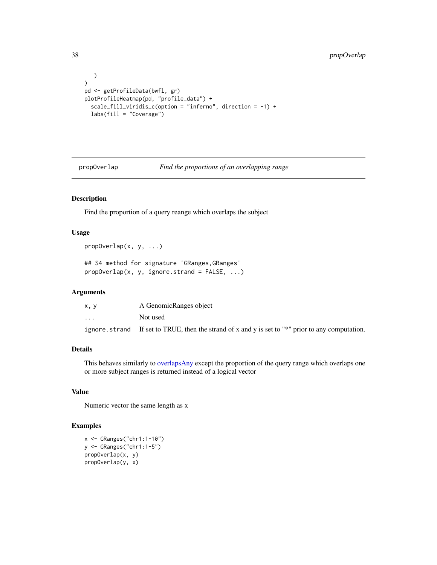# <span id="page-37-0"></span>38 propOverlap

```
)
\mathcal{L}pd <- getProfileData(bwfl, gr)
plotProfileHeatmap(pd, "profile_data") +
  scale_fill_viridis_c(option = "inferno", direction = -1) +
  labs(fill = "Coverage")
```
<span id="page-37-1"></span>

propOverlap *Find the proportions of an overlapping range*

# Description

Find the proportion of a query reange which overlaps the subject

# Usage

propOverlap(x, y, ...)

## S4 method for signature 'GRanges,GRanges'  $propOverlap(x, y, ignore.strand = FALSE, ...)$ 

#### Arguments

| x.v      | A GenomicRanges object                                                                            |
|----------|---------------------------------------------------------------------------------------------------|
| $\cdots$ | Not used                                                                                          |
|          | ignore, strand If set to TRUE, then the strand of x and y is set to "*" prior to any computation. |

# Details

This behaves similarly to [overlapsAny](#page-0-0) except the proportion of the query range which overlaps one or more subject ranges is returned instead of a logical vector

#### Value

Numeric vector the same length as x

```
x <- GRanges("chr1:1-10")
y <- GRanges("chr1:1-5")
propOverlap(x, y)
propOverlap(y, x)
```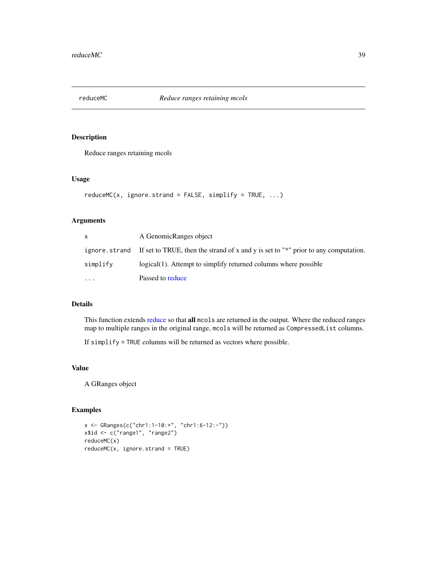<span id="page-38-1"></span><span id="page-38-0"></span>

# Description

Reduce ranges retaining mcols

#### Usage

```
reduceMC(x, ignore.strand = FALSE, simplify = TRUE, ...)
```
# Arguments

| X        | A GenomicRanges object                                                                                |
|----------|-------------------------------------------------------------------------------------------------------|
|          | ignore, strand If set to TRUE, then the strand of x and y is set to " $*$ " prior to any computation. |
| simplify | logical(1). Attempt to simplify returned columns where possible                                       |
| $\cdots$ | Passed to reduce                                                                                      |

# Details

This function extends [reduce](#page-0-0) so that all mcols are returned in the output. Where the reduced ranges map to multiple ranges in the original range, mcols will be returned as CompressedList columns.

If simplify = TRUE columns will be returned as vectors where possible.

# Value

A GRanges object

```
x <- GRanges(c("chr1:1-10:+", "chr1:6-12:-"))
x$id <- c("range1", "range2")
reduceMC(x)
reduceMC(x, ignore-strand = TRUE)
```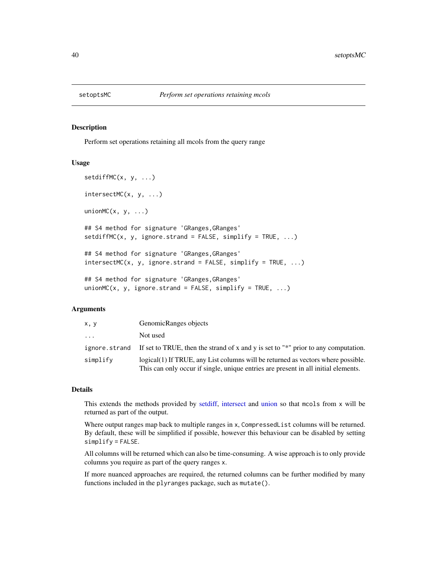<span id="page-39-0"></span>

#### <span id="page-39-1"></span>Description

Perform set operations retaining all mcols from the query range

#### Usage

```
setdiffMC(x, y, ...)
intersectMC(x, y, ...)
unionMC(x, y, \ldots)## S4 method for signature 'GRanges,GRanges'
setdiffMC(x, y, ignore.strand = FALSE, simplify = TRUE, ...)## S4 method for signature 'GRanges,GRanges'
intersectMC(x, y, ignore.strand = FALSE, simplify = TRUE, ...)## S4 method for signature 'GRanges, GRanges'
unionMC(x, y, ignore.strand = FALSE, simplify = TRUE, \ldots)
```
#### Arguments

| x, y     | GenomicRanges objects                                                                                                                                                  |
|----------|------------------------------------------------------------------------------------------------------------------------------------------------------------------------|
| $\cdots$ | Not used                                                                                                                                                               |
|          | ignore, strand If set to TRUE, then the strand of x and y is set to " $*$ " prior to any computation.                                                                  |
| simplify | logical(1) If TRUE, any List columns will be returned as vectors where possible.<br>This can only occur if single, unique entries are present in all initial elements. |

#### Details

This extends the methods provided by [setdiff,](#page-0-0) [intersect](#page-0-0) and [union](#page-0-0) so that mcols from x will be returned as part of the output.

Where output ranges map back to multiple ranges in x, CompressedList columns will be returned. By default, these will be simplified if possible, however this behaviour can be disabled by setting simplify = FALSE.

All columns will be returned which can also be time-consuming. A wise approach is to only provide columns you require as part of the query ranges x.

If more nuanced approaches are required, the returned columns can be further modified by many functions included in the plyranges package, such as mutate().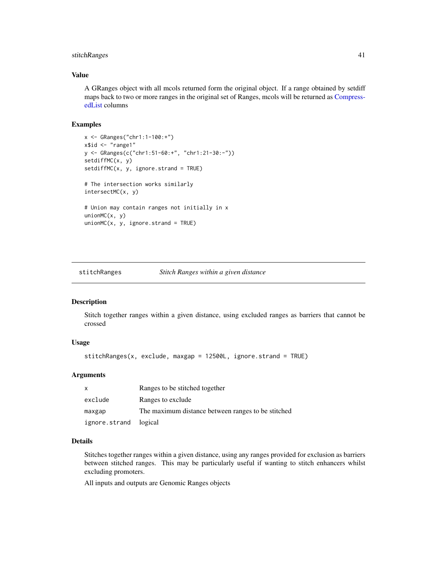# <span id="page-40-0"></span>stitchRanges 41

#### Value

A GRanges object with all mcols returned form the original object. If a range obtained by setdiff maps back to two or more ranges in the original set of Ranges, mcols will be returned as [Compress](#page-0-0)[edList](#page-0-0) columns

#### Examples

```
x <- GRanges("chr1:1-100:+")
x$id \leq "range1"
y <- GRanges(c("chr1:51-60:+", "chr1:21-30:-"))
setdiffMC(x, y)
setdiffMC(x, y, ignore.strand = TRUE)
# The intersection works similarly
intersectMC(x, y)
# Union may contain ranges not initially in x
unionMC(x, y)
unionMC(x, y, ignore.strand = TRUE)
```
<span id="page-40-1"></span>stitchRanges *Stitch Ranges within a given distance*

# Description

Stitch together ranges within a given distance, using excluded ranges as barriers that cannot be crossed

#### Usage

stitchRanges(x, exclude, maxgap = 12500L, ignore.strand = TRUE)

#### Arguments

| X                     | Ranges to be stitched together                     |
|-----------------------|----------------------------------------------------|
| exclude               | Ranges to exclude                                  |
| maxgap                | The maximum distance between ranges to be stitched |
| ignore.strand logical |                                                    |

#### Details

Stitches together ranges within a given distance, using any ranges provided for exclusion as barriers between stitched ranges. This may be particularly useful if wanting to stitch enhancers whilst excluding promoters.

All inputs and outputs are Genomic Ranges objects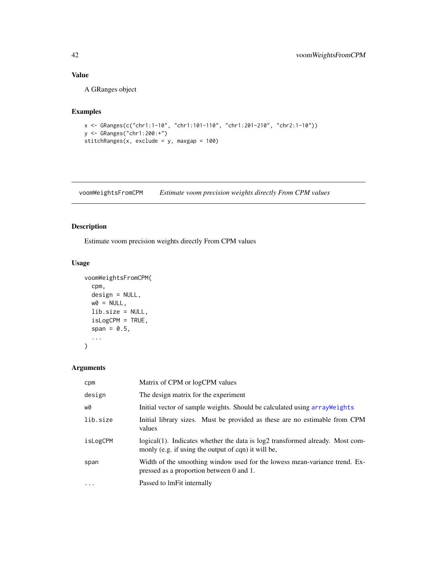# Value

A GRanges object

# Examples

```
x <- GRanges(c("chr1:1-10", "chr1:101-110", "chr1:201-210", "chr2:1-10"))
y <- GRanges("chr1:200:+")
stitchRanges(x, exclude = y, maxgap = 100)
```
<span id="page-41-1"></span>voomWeightsFromCPM *Estimate voom precision weights directly From CPM values*

# Description

Estimate voom precision weights directly From CPM values

# Usage

```
voomWeightsFromCPM(
  cpm,
  design = NULL,
 w0 = NULL,lib.size = NULL,
  isLogCPM = TRUE,
  span = 0.5,
  ...
)
```
# Arguments

| cpm       | Matrix of CPM or logCPM values                                                                                                       |
|-----------|--------------------------------------------------------------------------------------------------------------------------------------|
| design    | The design matrix for the experiment                                                                                                 |
| w0        | Initial vector of sample weights. Should be calculated using array Weights                                                           |
| lib.size  | Initial library sizes. Must be provided as these are no estimable from CPM<br>values                                                 |
| isLogCPM  | logical(1). Indicates whether the data is log2 transformed already. Most com-<br>monly (e.g. if using the output of cqn) it will be, |
| span      | Width of the smoothing window used for the lowess mean-variance trend. Ex-<br>pressed as a proportion between 0 and 1.               |
| $\ddotsc$ | Passed to lmFit internally                                                                                                           |

<span id="page-41-0"></span>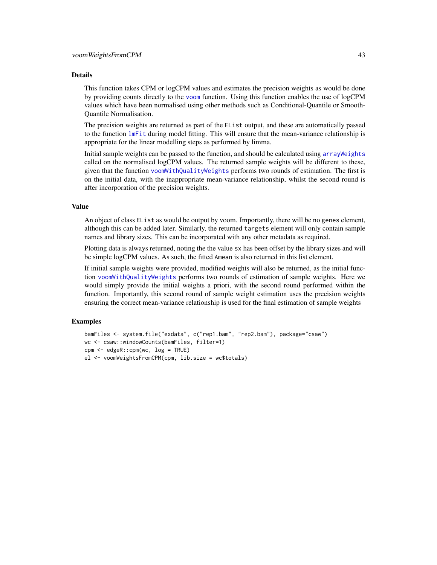#### <span id="page-42-0"></span>Details

This function takes CPM or logCPM values and estimates the precision weights as would be done by providing counts directly to the [voom](#page-0-0) function. Using this function enables the use of logCPM values which have been normalised using other methods such as Conditional-Quantile or Smooth-Quantile Normalisation.

The precision weights are returned as part of the EList output, and these are automatically passed to the function [lmFit](#page-0-0) during model fitting. This will ensure that the mean-variance relationship is appropriate for the linear modelling steps as performed by limma.

Initial sample weights can be passed to the function, and should be calculated using [arrayWeights](#page-0-0) called on the normalised logCPM values. The returned sample weights will be different to these, given that the function [voomWithQualityWeights](#page-0-0) performs two rounds of estimation. The first is on the initial data, with the inappropriate mean-variance relationship, whilst the second round is after incorporation of the precision weights.

#### Value

An object of class EList as would be output by voom. Importantly, there will be no genes element, although this can be added later. Similarly, the returned targets element will only contain sample names and library sizes. This can be incorporated with any other metadata as required.

Plotting data is always returned, noting the the value sx has been offset by the library sizes and will be simple logCPM values. As such, the fitted Amean is also returned in this list element.

If initial sample weights were provided, modified weights will also be returned, as the initial function [voomWithQualityWeights](#page-0-0) performs two rounds of estimation of sample weights. Here we would simply provide the initial weights a priori, with the second round performed within the function. Importantly, this second round of sample weight estimation uses the precision weights ensuring the correct mean-variance relationship is used for the final estimation of sample weights

```
bamFiles <- system.file("exdata", c("rep1.bam", "rep2.bam"), package="csaw")
wc <- csaw::windowCounts(bamFiles, filter=1)
cpm <- edgeR::cpm(wc, log = TRUE)
el <- voomWeightsFromCPM(cpm, lib.size = wc$totals)
```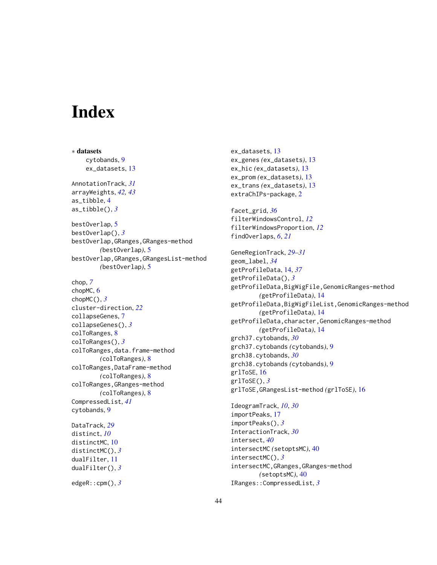# <span id="page-43-0"></span>**Index**

∗ datasets cytobands, [9](#page-8-0) ex\_datasets, [13](#page-12-0) AnnotationTrack, *[31](#page-30-0)* arrayWeights, *[42,](#page-41-0) [43](#page-42-0)* as\_tibble, [4](#page-3-0) as\_tibble( $),$ <sup>[3](#page-2-0)</sup> bestOverlap, [5](#page-4-0) bestOverlap(), *[3](#page-2-0)* bestOverlap,GRanges,GRanges-method *(*bestOverlap*)*, [5](#page-4-0) bestOverlap,GRanges,GRangesList-method *(*bestOverlap*)*, [5](#page-4-0) chop, *[7](#page-6-0)* chopMC, [6](#page-5-0) chopMC(), *[3](#page-2-0)* cluster-direction, *[22](#page-21-0)* collapseGenes, [7](#page-6-0) collapseGenes(), *[3](#page-2-0)* colToRanges, [8](#page-7-0) colToRanges(), *[3](#page-2-0)* colToRanges,data.frame-method *(*colToRanges*)*, [8](#page-7-0) colToRanges,DataFrame-method *(*colToRanges*)*, [8](#page-7-0) colToRanges,GRanges-method *(*colToRanges*)*, [8](#page-7-0) CompressedList, *[41](#page-40-0)* cytobands, [9](#page-8-0) DataTrack, *[29](#page-28-0)* distinct, *[10](#page-9-0)* distinctMC, [10](#page-9-0) distinctMC(), *[3](#page-2-0)* dualFilter, [11](#page-10-0) dualFilter(), *[3](#page-2-0)* edgeR::cpm(), *[3](#page-2-0)*

ex\_datasets, [13](#page-12-0) ex\_genes *(*ex\_datasets*)*, [13](#page-12-0) ex\_hic *(*ex\_datasets*)*, [13](#page-12-0) ex\_prom *(*ex\_datasets*)*, [13](#page-12-0) ex\_trans *(*ex\_datasets*)*, [13](#page-12-0) extraChIPs-package, [2](#page-1-0) facet\_grid, *[36](#page-35-0)* filterWindowsControl, *[12](#page-11-0)* filterWindowsProportion, *[12](#page-11-0)* findOverlaps, *[6](#page-5-0)*, *[21](#page-20-0)* GeneRegionTrack, *[29](#page-28-0)[–31](#page-30-0)* geom\_label, *[34](#page-33-0)* getProfileData, [14,](#page-13-0) *[37](#page-36-0)* getProfileData(), *[3](#page-2-0)* getProfileData,BigWigFile,GenomicRanges-method *(*getProfileData*)*, [14](#page-13-0) getProfileData,BigWigFileList,GenomicRanges-method *(*getProfileData*)*, [14](#page-13-0) getProfileData,character,GenomicRanges-method *(*getProfileData*)*, [14](#page-13-0) grch37.cytobands, *[30](#page-29-0)* grch37.cytobands *(*cytobands*)*, [9](#page-8-0) grch38.cytobands, *[30](#page-29-0)* grch38.cytobands *(*cytobands*)*, [9](#page-8-0) grlToSE, [16](#page-15-0) grlToSE(), *[3](#page-2-0)* grlToSE,GRangesList-method *(*grlToSE*)*, [16](#page-15-0) IdeogramTrack, *[10](#page-9-0)*, *[30](#page-29-0)* importPeaks, [17](#page-16-0) importPeaks(), *[3](#page-2-0)* InteractionTrack, *[30](#page-29-0)* intersect, *[40](#page-39-0)* intersectMC *(*setoptsMC*)*, [40](#page-39-0) intersectMC(), *[3](#page-2-0)* intersectMC,GRanges,GRanges-method *(*setoptsMC*)*, [40](#page-39-0)

IRanges::CompressedList, *[3](#page-2-0)*